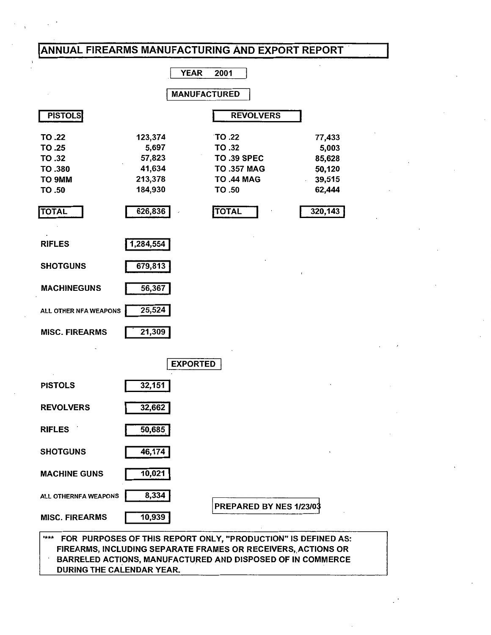# ANNUAL FIREARMS MANUFACTURING AND EXPORT REPORT

 $\ddot{\phantom{1}}$ 

| <b>YEAR</b><br>2001                                                                                      |                                                                       |                     |                                                                                                                                                              |                                                                    |  |  |  |
|----------------------------------------------------------------------------------------------------------|-----------------------------------------------------------------------|---------------------|--------------------------------------------------------------------------------------------------------------------------------------------------------------|--------------------------------------------------------------------|--|--|--|
|                                                                                                          |                                                                       | <b>MANUFACTURED</b> |                                                                                                                                                              |                                                                    |  |  |  |
| <b>PISTOLS</b>                                                                                           |                                                                       |                     | <b>REVOLVERS</b>                                                                                                                                             |                                                                    |  |  |  |
| TO .22<br>TO .25<br>TO .32<br>TO .380<br>TO 9MM<br>TO .50<br><b>TOTAL</b>                                | 123,374<br>5,697<br>57,823<br>41,634<br>213,378<br>184,930<br>626,836 | $\mathcal{L}$       | TO .22<br>TO .32<br><b>TO .39 SPEC</b><br><b>TO .357 MAG</b><br><b>TO .44 MAG</b><br>TO .50<br><b>TOTAL</b>                                                  | 77,433<br>5,003<br>85,628<br>50,120<br>39,515<br>62,444<br>320,143 |  |  |  |
| <b>RIFLES</b><br><b>SHOTGUNS</b><br><b>MACHINEGUNS</b><br>ALL OTHER NFA WEAPONS<br><b>MISC. FIREARMS</b> | 1,284,554<br>679,813<br>56,367<br>25,524<br>21,309                    |                     |                                                                                                                                                              |                                                                    |  |  |  |
|                                                                                                          |                                                                       | <b>EXPORTED</b>     |                                                                                                                                                              |                                                                    |  |  |  |
| <b>PISTOLS</b>                                                                                           | 32,151                                                                |                     |                                                                                                                                                              |                                                                    |  |  |  |
| <b>REVOLVERS</b>                                                                                         | 32,662                                                                |                     |                                                                                                                                                              |                                                                    |  |  |  |
| <b>RIFLES</b>                                                                                            | 50,685                                                                |                     |                                                                                                                                                              |                                                                    |  |  |  |
| <b>SHOTGUNS</b>                                                                                          | 46,174                                                                |                     |                                                                                                                                                              |                                                                    |  |  |  |
| <b>MACHINE GUNS</b>                                                                                      | 10,021                                                                |                     |                                                                                                                                                              |                                                                    |  |  |  |
| ALL OTHERNFA WEAPONS<br><b>MISC. FIREARMS</b>                                                            | 8,334<br>10,939                                                       |                     | PREPARED BY NES 1/23/03                                                                                                                                      |                                                                    |  |  |  |
| ***                                                                                                      |                                                                       | AMIICA OTHOED       | FOR PURPOSES OF THIS REPORT ONLY, "PRODUCTION" IS DEFINED AS:<br>FIREARMS, INCLUDING SEPARATE FRAMES OR RECEIVERS, ACTIONS OR<br>AND DIRDORED OF IN COMMEDGE |                                                                    |  |  |  |

BARRELED ACTIONS, MANUFACTURED AND DISPOSED OF IN COMMERCE

DURING THE CALENDAR YEAR.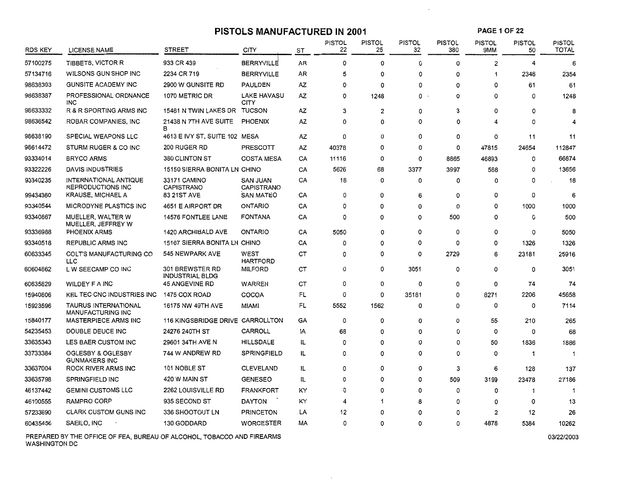#### **PISTOLS MANUFACTURED IN 2001**

**PAGE 1OF22** 

 $\mathcal{L}^{\mathcal{L}}$ 

| <b>RDS KEY</b> | LICENSE NAME                                            | <b>STREET</b>                             | CITY                       | ST        | <b>PISTOL</b><br>22 | PISTOL<br>25 | <b>PISTOL</b><br>32 | <b>PISTOL</b><br>380 | <b>PISTOL</b><br>9MM | <b>PISTOL</b><br>50 | <b>PISTOL</b><br><b>TOTAL</b> |
|----------------|---------------------------------------------------------|-------------------------------------------|----------------------------|-----------|---------------------|--------------|---------------------|----------------------|----------------------|---------------------|-------------------------------|
| 57100275       | TIBBETS, VICTOR R                                       | 933 CR 439                                | <b>BERRYVILLE</b>          | AR        | 0                   | 0            | 0                   | 0                    | $\overline{2}$       | 4                   | 6                             |
| 57134716       | WILSONS GUN SHOP INC                                    | 2234 CR 719                               | <b>BERRYVILLE</b>          | AR        | 5                   | 0            | 0                   | 0                    | 1                    | 2348                | 2354                          |
| 98638393       | <b>GUNSITE ACADEMY INC</b>                              | 2900 W GUNSITE RD                         | PAULDEN                    | ΑZ        | 0                   | 0            | ٥                   | 0                    | 0                    | 61                  | 61                            |
| 98638387       | PROFESSIONAL ORDNANCE<br><b>INC</b>                     | 1070 METRIC DR                            | <b>LAKE HAVASU</b><br>CITY | ΑZ        | 0                   | 1248         | 0                   | 0                    | $\Omega$             | 0                   | 1248                          |
| 98633332       | R & R SPORTING ARMS INC                                 | 15481 N TWIN LAKES DR                     | TUCSON                     | AZ        | 3                   | 2            | 0                   | 3                    | $\mathbf 0$          | 0                   | 8                             |
| 98636542       | ROBAR COMPANIES, INC                                    | 21438 N 7TH AVE SUITE<br>в                | <b>PHOENIX</b>             | AZ        | 0                   | 0            | 0                   | 0                    | 4                    | 0                   |                               |
| 98638190       | SPECIAL WEAPONS LLC                                     | 4613 E IVY ST, SUITE 102 MESA             |                            | <b>AZ</b> | 0                   | 0            | 0                   | 0                    | $\Omega$             | 11                  | 11                            |
| 98614472       | STURM RUGER & CO INC                                    | 200 RUGER RD                              | <b>PRESCOTT</b>            | AZ        | 40378               | 0            | 0                   | 0                    | 47815                | 24654               | 112847                        |
| 93334014       | <b>BRYCO ARMS</b>                                       | 380 CLINTON ST                            | <b>COSTA MESA</b>          | CA        | 11116               | 0            | 0                   | 8865                 | 46893                | 0                   | 66874                         |
| 93322226       | <b>DAVIS INDUSTRIES</b>                                 | 15150 SIERRA BONITA LN CHINO              |                            | CA        | 5626                | 68           | 3377                | 3997                 | 588                  | 0                   | 13656                         |
| 93340235       | INTERNATIONAL ANTIQUE<br><b>REPRODUCTIONS INC</b>       | 33171 CAMINO<br><b>CAPISTRANO</b>         | SAN JUAN<br>CAPISTRANO     | CA        | 18                  | 0            | 0                   | 0                    | $\mathbf 0$          | 0                   | 18                            |
| 99434360       | KRAUSE, MICHAEL A                                       | 83 21ST AVE                               | <b>SAN MATEO</b>           | CA        | 0                   | 0            | 6                   | 0                    | $\Omega$             | 0                   | 6                             |
| 93340544       | MICRODYNE PLASTICS INC                                  | 4651 E AIRPORT DR                         | <b>ONTARIO</b>             | CA        | 0                   | 0            | 0                   | 0                    | $\mathbf 0$          | 1000                | 1000                          |
| 93340867       | MUELLER, WALTER W<br>MUELLER, JEFFREY W                 | 14576 FONTLEE LANE                        | <b>FONTANA</b>             | CA        | 0                   | 0            | 0                   | 500                  | $\Omega$             | 0                   | 500                           |
| 93336988       | <b>PHOENIX ARMS</b>                                     | 1420 ARCHIBALD AVE                        | ONTARIO                    | CA        | 5050                | 0            | 0                   | 0                    | $\mathbf 0$          | 0                   | 5050                          |
| 93340518       | REPUBLIC ARMS INC                                       | 15167 SIERRA BONITA LN CHINO              |                            | CA        | 0                   | 0            | 0                   | 0                    | $\mathbf 0$          | 1326                | 1326                          |
| 60633345       | COLT'S MANUFACTURING CO<br><b>LLC</b>                   | 545 NEWPARK AVE                           | WEST<br><b>HARTFORD</b>    | CT        | 0                   | 0            | 0                   | 2729                 | 6                    | 23181               | 25916                         |
| 60604862       | L W SEECAMP CO INC                                      | 301 BREWSTER RD<br><b>INDUSTRIAL BLDG</b> | <b>MILFORD</b>             | CТ        | 0                   | 0            | 3051                | 0                    | 0                    | 0                   | 3051                          |
| 60635829       | WILDEY F A INC                                          | <b>45 ANGEVINE RD</b>                     | WARREN                     | CT        | 0                   | 0            | 0                   | 0                    | 0                    | 74                  | 74                            |
| 15940806       | KEL TEC CNC INDUSTRIES INC                              | 1475 COX ROAD                             | COCOA                      | FL        | 0                   | 0            | 35181               | 0                    | 8271                 | 2206                | 45658                         |
| 15923596       | <b>TAURUS INTERNATIONAL</b><br><b>MANUFACTURING INC</b> | 16175 NW 49TH AVE                         | <b>MIAMI</b>               | FL        | 5552                | 1562         | 0                   | 0                    | 0                    | 0                   | 7114                          |
| 15840177       | <b>MASTERPIECE ARMS INC</b>                             | 116 KINGSBRIDGE DRIVE CARROLLTON          |                            | GA        | 0                   | 0            | 0                   | 0                    | 55                   | 210                 | 265                           |
| 54235453       | DOUBLE DEUCE INC                                        | 24276 240TH ST                            | CARROLL                    | ١A        | 68                  | 0            | 0                   | 0                    | 0                    | 0                   | 68                            |
| 33635343       | LES BAER CUSTOM INC                                     | 29601 34TH AVE N                          | HILLSDALE                  | IL.       | 0                   | 0            | 0                   | 0                    | 50                   | 1836                | 1886                          |
| 33733384       | OGLESBY & OGLESBY<br><b>GUNMAKERS INC</b>               | 744 W ANDREW RD                           | <b>SPRINGFIELD</b>         | IL        | 0                   | 0            | 0                   | 0                    | 0                    | -1                  | -1                            |
| 33637004       | ROCK RIVER ARMS INC                                     | 101 NOBLE ST                              | <b>CLEVELAND</b>           | IL        | 0                   | 0            | 0                   | 3                    | 6                    | 128                 | 137                           |
| 33635798       | <b>SPRINGFIELD INC</b>                                  | 420 W MAIN ST                             | <b>GENESEO</b>             | IL.       | $\Omega$            | 0            | 0                   | 509                  | 3199                 | 23478               | 27186                         |
| 46137442       | <b>GEMINI CUSTOMS LLC</b>                               | 2262 LOUISVILLE RD                        | <b>FRANKFORT</b>           | ΚY        | 0                   | 0            | 0                   | 0                    | 0                    | -1                  | -1                            |
| 46100555       | <b>RAMPRO CORP</b>                                      | 935 SECOND ST                             | <b>DAYTON</b>              | KY        | 4                   | -1           | 8                   | 0                    | 0                    | 0                   | 13                            |
| 57233690       | <b>CLARK CUSTOM GUNS INC</b>                            | 336 SHOOTOUT LN                           | <b>PRINCETON</b>           | LA        | 12                  | 0            | 0                   | 0                    | 2                    | 12                  | 26                            |
| 60435456       | SAEILO, INC                                             | 130 GODDARD                               | <b>WORCESTER</b>           | МA        | 0                   | 0            | 0                   | 0                    | 4878                 | 5384                | 10262                         |

 $\sim$ 

PREPARED BY THE OFFICE OF FEA, BUREAU OF ALCOHOL, TOBACCO AND FIREARMS WASHINGTON DC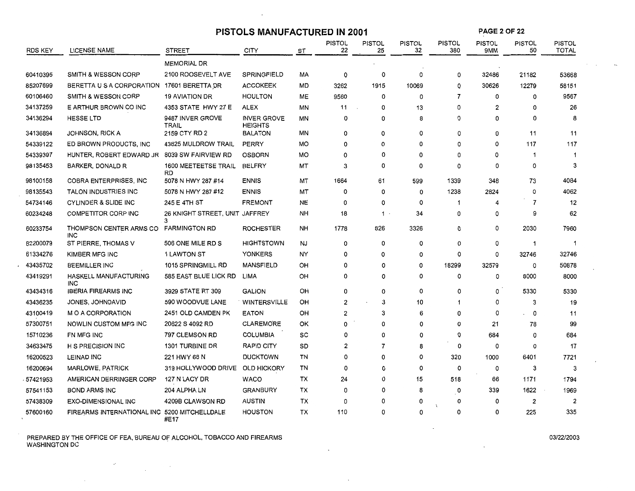|                |                                       | PISTOLS MANUFACTURED IN 2001        |                                      |           |              |                     |                     | <b>PAGE 2 OF 22</b>  |                      |                     |                               |
|----------------|---------------------------------------|-------------------------------------|--------------------------------------|-----------|--------------|---------------------|---------------------|----------------------|----------------------|---------------------|-------------------------------|
| <b>RDS KEY</b> | LICENSE NAME                          | STREET                              | CITY                                 | ST        | PISTOL<br>22 | <b>PISTOL</b><br>25 | <b>PISTOL</b><br>32 | <b>PISTOL</b><br>380 | <b>PISTOL</b><br>9MM | <b>PISTOL</b><br>50 | <b>PISTOL</b><br><b>TOTAL</b> |
|                |                                       | <b>MEMORIAL DR</b>                  |                                      |           |              |                     |                     |                      |                      |                     |                               |
| 60410395       | SMITH & WESSON CORP                   | 2100 ROOSEVELT AVE                  | SPRINGFIELD                          | MA        | 0            | 0                   | 0                   | 0                    | 32486                | 21182               | 53668                         |
| 85207699       | BERETTA U S A CORPORATION             | 17601 BERETTA DR                    | <b>ACCOKEEK</b>                      | MD        | 3262         | 1915                | 10069               | 0                    | 30626                | 12279               | 58151                         |
| 60106460       | SMITH & WESSON CORP                   | <b>19 AVIATION DR</b>               | <b>HOULTON</b>                       | MЕ        | 9560         | 0                   | 0                   | 7                    | 0                    | 0                   | 9567                          |
| 34137259       | E ARTHUR BROWN CO INC                 | 4353 STATE HWY 27 E                 | <b>ALEX</b>                          | ΜN        | 11           | $\Omega$            | 13                  | 0                    | 2                    | 0                   | 26                            |
| 34136294       | <b>HESSE LTD</b>                      | 9487 INVER GROVE<br><b>TRAIL</b>    | <b>INVER GROVE</b><br><b>HEIGHTS</b> | ΜN        | 0            | 0                   | 8                   | 0                    | 0                    | 0                   | 8                             |
| 34136894       | <b>JOHNSON, RICK A</b>                | 2159 CTY RD 2                       | <b>BALATON</b>                       | MN        | 0            | 0                   | o                   | 0                    | 0                    | 11                  | 11                            |
| 54339122       | ED BROWN PRODUCTS, INC.               | 43825 MULDROW TRAIL                 | PERRY                                | МO        | 0            | $\Omega$            | 0                   | 0                    | 0                    | 117                 | 117                           |
| 54339397       | HUNTER, ROBERT EDWARD JR              | 8039 SW FAIRVIEW RD                 | <b>OSBORN</b>                        | МO        | 0            | 0                   | 0                   | 0                    | 0                    | 1                   | $\mathbf 1$                   |
| 98135453       | BARKER, DONALD R                      | 1600 MEETEETSE TRAIL<br><b>RD</b>   | <b>BELFRY</b>                        | МT        | 3            | 0                   | 0                   | 0                    | 0                    | 0                   | 3                             |
| 98100158       | COBRA ENTERPRISES, INC                | 5078 N HWY 287 #14                  | <b>ENNIS</b>                         | MT        | 1664         | 61                  | 599                 | 1339                 | 348                  | 73                  | 4084                          |
| 98135543       | TALON INDUSTRIES INC                  | 5078 N HWY 287 #12                  | <b>ENNIS</b>                         | MT        | 0            | $\Omega$            | 0                   | 1238                 | 2824                 | 0                   | 4062                          |
| 54734146       | <b>CYLINDER &amp; SLIDE INC</b>       | 245 E 4TH ST                        | <b>FREMONT</b>                       | NE        | 0            | 0                   | 0                   |                      | 4                    | 7                   | 12                            |
| 60234248       | COMPETITOR CORP INC                   | 26 KNIGHT STREET, UNIT JAFFREY<br>3 |                                      | NH        | 18           | $1 \cdot$           | 34                  | 0                    | 0                    | 9                   | 62                            |
| 60233754       | THOMPSON CENTER ARMS CO<br><b>INC</b> | <b>FARMINGTON RD</b>                | <b>ROCHESTER</b>                     | <b>NH</b> | 1778         | 826                 | 3326                | 0                    | 0                    | 2030                | 7960                          |
| 82200079       | ST PIERRE, THOMAS V                   | 506 ONE MILE RD S                   | <b>HIGHTSTOWN</b>                    | <b>NJ</b> | 0            | 0                   | $\mathbf 0$         | 0                    | 0                    | 1                   | -1                            |
| 61334276       | KIMBER MFG INC                        | 1 LAWTON ST                         | YONKERS                              | NY        | 0            | 0                   | 0                   | 0                    | 0                    | 32746               | 32746                         |
| 43435702       | <b>BEEMILLER INC</b>                  | 1015 SPRINGMILL RD                  | <b>MANSFIELD</b>                     | OН        | 0            | 0                   | 0                   | 18299                | 32579                | 0                   | 50878                         |
| 43419291       | HASKELL MANUFACTURING<br><b>INC</b>   | 585 EAST BLUE LICK RD               | LIMA                                 | OH        | 0            | 0                   | 0                   | 0                    | 0                    | 8000                | 8000                          |
| 43434316       | <b>IBERIA FIREARMS INC</b>            | 3929 STATE RT 309                   | <b>GALION</b>                        | OH        | 0            | 0                   | 0                   | 0                    | 0                    | 5330                | 5330                          |
| 43436235       | JONES, JOHNDAVID                      | 590 WOODVUE LANE                    | WINTERSVILLE                         | OН        | 2            | 3                   | 10                  | 1                    | 0                    | з                   | 19                            |
| 43100419       | M O A CORPORATION                     | 2451 OLD CAMDEN PK                  | <b>EATON</b>                         | OH        | 2            | з                   | 6                   | 0                    | 0                    | 0                   | 11                            |
| 57300751       | NOWLIN CUSTOM MFG INC                 | 20622 S 4092 RD                     | <b>CLAREMORE</b>                     | OK        | 0            | 0                   | 0                   | 0                    | 21                   | 78                  | 99                            |
| 15710236       | FN MFG INC                            | 797 CLEMSON RD                      | <b>COLUMBIA</b>                      | SC        | 0            | 0                   | 0                   | 0                    | 684                  | 0                   | 684                           |
| 34633475       | <b>H S PRECISION INC</b>              | 1301 TURBINE DR                     | <b>RAPID CITY</b>                    | SD        | 2            | 7                   | 8                   | 0                    | 0                    | 0                   | 17                            |
| 16200523       | LEINAD INC                            | 221 HWY 68 N                        | <b>DUCKTOWN</b>                      | TN        | $\Omega$     | 0                   | 0                   | 320                  | 1000                 | 6401                | 7721                          |
| 16200694       | MARLOWE, PATRICK                      | 319 HOLLYWOOD DRIVE                 | <b>OLD HICKORY</b>                   | TN        | $\Omega$     | 0                   | 0                   | 0                    | 0                    | 3                   | 3                             |
| 57421953       | AMERICAN DERRINGER CORP               | 127 N LACY DR                       | WACO                                 | ТX        | 24           | $\Omega$            | 15                  | 518                  | 66                   | 1171                | 1794                          |
| 57541153       | <b>BOND ARMS INC</b>                  | 204 ALPHA LN                        | <b>GRANBURY</b>                      | ТX        | 0            | $\Omega$            | 8                   | 0                    | 339                  | 1622                | 1969                          |
| 57438309       | <b>EXO-DIMENSIONAL INC</b>            | 4209B CLAWSON RD                    | AUSTIN                               | ТX        | 0            | ŋ                   | 0                   | 0                    | 0                    | 2                   | 2                             |
| 57600160       | FIREARMS INTERNATIONAL INC            | 5200 MITCHELLDALE<br>#E17           | <b>HOUSTON</b>                       | тх        | 110          | 0                   | 0                   | 0                    | 0                    | 225                 | 335                           |

 $\mathbf{r}$ 

PREPARED BY THE OFFICE OF FEA, BUREAU OF ALCOHOL, TOBACCO AND FIREARMS WASHINGTON DC .

 $\sim 100$ 

 $\label{eq:2.1} \frac{d}{dt} \left( \frac{d}{dt} \right) = \frac{1}{2\pi} \frac{d}{dt}$ 

 $\sim$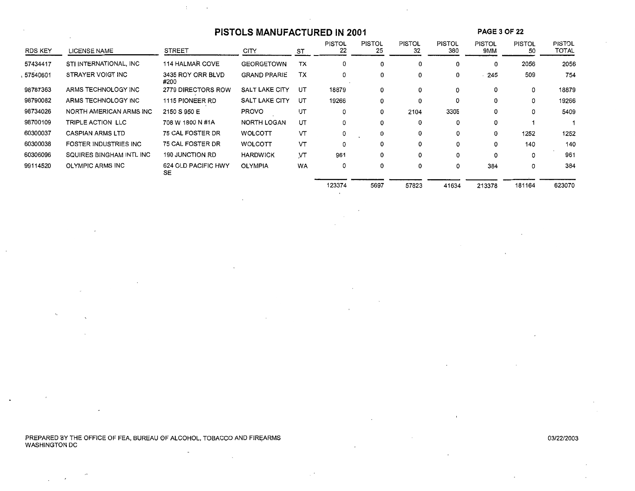# PISTOLS MANUFACTURED IN 2001 **PAGE 3 OF 22**

 $\Lambda$  .

 $\sim$ 

| <b>RDS KEY</b> | LICENSE NAME                 | <b>STREET</b>             | <b>CITY</b>         | ST        | <b>PISTOL</b><br>22 | <b>PISTOL</b><br>25 | <b>PISTOL</b><br>32 | <b>PISTOL</b><br>380 | <b>PISTOL</b><br>9MM | <b>PISTOL</b><br>50 | <b>PISTOL</b><br>TOTAL |
|----------------|------------------------------|---------------------------|---------------------|-----------|---------------------|---------------------|---------------------|----------------------|----------------------|---------------------|------------------------|
| 57434417       | STI INTERNATIONAL, INC       | <b>114 HALMAR COVE</b>    | <b>GEORGETOWN</b>   | ТX        | 0                   | 0                   | 0                   | 0                    | 0                    | 2056                | 2056                   |
| 57540601       | STRAYER VOIGT INC            | 3435 ROY ORR BLVD<br>#200 | <b>GRAND PRARIE</b> | ТX        | 0                   | 0                   | 0                   | 0                    | 245                  | 509                 | 754                    |
| 98787363       | ARMS TECHNOLOGY INC          | 2779 DIRECTORS ROW        | SALT LAKE CITY      | UT        | 18879               | 0                   | 0                   | $\mathbf 0$          | 0                    | o                   | 18879                  |
| 98790082       | ARMS TECHNOLOGY INC          | 1115 PIONEER RD           | SALT LAKE CITY      | UT        | 19266               | 0                   | 0                   | 0                    | 0                    | 0                   | 19266                  |
| 98734026       | NORTH AMERICAN ARMS INC      | 2150 S 950 E              | <b>PROVO</b>        | UT        | 0                   | 0                   | 2104                | 3305                 | 0                    | 0                   | 5409                   |
| 98700109       | TRIPLE ACTION LLC            | 708 W 1800 N #1A          | NORTH LOGAN         | UT        | 0                   | 0                   | 0                   | 0                    | 0                    |                     |                        |
| 60300037       | <b>CASPIAN ARMS LTD</b>      | 75 CAL FOSTER DR          | <b>WOLCOTT</b>      | VΤ        | 0                   | 0                   | 0                   | 0                    | 0                    | 1252                | 1252                   |
| 60300038       | <b>FOSTER INDUSTRIES INC</b> | 75 CAL FOSTER DR          | <b>WOLCOTT</b>      | VT        | 0                   | 0                   | 0                   | 0                    | 0                    | 140                 | 140                    |
| 60306096       | SQUIRES BINGHAM INTL INC     | <b>190 JUNCTION RD</b>    | <b>HARDWICK</b>     | <b>VT</b> | 961                 | 0                   | 0                   | 0                    | 0                    | 0                   | 961                    |
| 99114520       | <b>OLYMPIC ARMS INC</b>      | 624 OLD PACIFIC HWY<br>SE | <b>OLYMPIA</b>      | <b>WA</b> | 0                   | 0                   | 0                   | 0                    | 384                  | 0                   | 384                    |
|                |                              |                           |                     |           | 123374              | 5697                | 57823               | 41634                | 213378               | 181164              | 623070                 |

 $\blacksquare$ 

PREPARED BY THE OFFICE OF FEA, BUREAU OF ALCOHOL, TOBACCO AND FIREARMS WASHINGTON DC .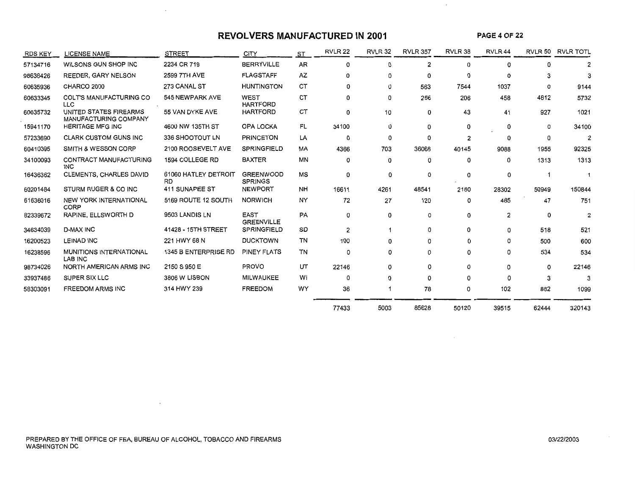### **REVOLVERS MANUFACTURED IN 2001**

**PAGE 4 OF 22** 

 $\mathcal{A}$ 

 $\sim$ 

| <b>RDS KEY</b> | <b>LICENSE NAME</b>                             | <b>STREET</b>                     | <b>CITY</b>                        | ST | RVLR <sub>22</sub> | RVLR 32 | <b>RVLR 357</b> | RVLR 38 | RVLR <sub>44</sub> |          | RVLR 50 RVLR TOTL |
|----------------|-------------------------------------------------|-----------------------------------|------------------------------------|----|--------------------|---------|-----------------|---------|--------------------|----------|-------------------|
| 57134716       | WILSONS GUN SHOP INC                            | 2234 CR 719                       | <b>BERRYVILLE</b>                  | AR | 0                  | 0       | 2               | 0       | 0                  |          | 2                 |
| 98638426       | <b>REEDER, GARY NELSON</b>                      | 2599 7TH AVE                      | <b>FLAGSTAFF</b>                   | AZ | 0                  | 0       | 0               | 0       |                    |          | 3                 |
| 60635936       | CHARCO 2000                                     | 273 CANAL ST                      | <b>HUNTINGTON</b>                  | CT | $\Omega$           | 0       | 563             | 7544    | 1037               | $\Omega$ | 9144              |
| 60633345       | COLT'S MANUFACTURING CO<br><b>LLC</b>           | 545 NEWPARK AVE                   | WEST<br><b>HARTFORD</b>            | СT | $\Omega$           | 0       | 256             | 206     | 458                | 4812     | 5732              |
| 60635732       | UNITED STATES FIREARMS<br>MANUFACTURING COMPANY | 55 VAN DYKE AVE                   | <b>HARTFORD</b>                    | СT | 0                  | 10      | 0               | 43      | 41                 | 927      | 1021              |
| 15941170       | <b>HERITAGE MFG INC</b>                         | 4600 NW 135TH ST                  | OPA LOCKA                          | FL | 34100              | 0       | 0               | 0       | 0                  | 0        | 34100             |
| 57233690       | <b>CLARK CUSTOM GUNS INC</b>                    | 336 SHOOTOUT LN                   | <b>PRINCETON</b>                   | LA | 0                  | 0       | 0               | 2       |                    |          | $\overline{2}$    |
| 60410395       | SMITH & WESSON CORP                             | 2100 ROOSEVELT AVE                | <b>SPRINGFIELD</b>                 | МA | 4366               | 703     | 36068           | 40145   | 9088               | 1955     | 92325             |
| 34100093       | CONTRACT MANUFACTURING<br><b>INC</b>            | 1594 COLLEGE RD                   | <b>BAXTER</b>                      | ΜN | 0                  | 0       | 0               | 0       | 0                  | 1313     | 1313              |
| 16436362       | CLEMENTS, CHARLES DAVID                         | 61060 HATLEY DETROIT<br><b>RD</b> | <b>GREENWOOD</b><br><b>SPRINGS</b> | MS | 0                  | 0       | 0               | 0       | 0                  |          |                   |
| 60201484       | STURM RUGER & CO INC                            | 411 SUNAPEE ST                    | NEWPORT                            | NH | 16611              | 4261    | 48541           | 2180    | 28302              | 50949    | 150844            |
| 61636016       | NEW YORK INTERNATIONAL<br>CORP                  | 5169 ROUTE 12 SOUTH               | <b>NORWICH</b>                     | NY | 72                 | 27      | 120             | 0       | 485                | 47       | 751               |
| 82339672       | RAPINE, ELLSWORTH D                             | 9503 LANDIS LN                    | <b>EAST</b><br><b>GREENVILLE</b>   | PA | 0                  | 0       | 0               | 0       | 2                  | 0        | $\overline{2}$    |
| 34634039       | <b>D-MAX INC</b>                                | 41428 - 15TH STREET               | SPRINGFIELD                        | SD | $\overline{2}$     |         | 0               | 0       | 0                  | 518      | 521               |
| 16200523       | <b>LEINAD INC</b>                               | 221 HWY 68 N                      | <b>DUCKTOWN</b>                    | TN | 100                | 0       | 0               | 0       | $\Omega$           | 500      | 600               |
| 16238596       | MUNITIONS INTERNATIONAL<br><b>LAB INC</b>       | 1345 B ENTERPRISE RD              | PINEY FLATS                        | TN | 0                  | 0       | 0               | 0       | 0                  | 534      | 534               |
| 98734026       | NORTH AMERICAN ARMS INC                         | 2150 S 950 E                      | <b>PROVO</b>                       | UT | 22146              | 0       | 0               | 0       |                    | 0        | 22146             |
| 33937486       | SUPER SIX LLC                                   | 3806 W LISBON                     | <b>MILWAUKEE</b>                   | WI | 0                  | 0       | 0               | 0       | n                  | з        | 3                 |
| 58303091       | <b>FREEDOM ARMS INC</b>                         | 314 HWY 239                       | <b>FREEDOM</b>                     | WY | 36                 |         | 78              | 0       | 102                | 882      | 1099              |
|                |                                                 |                                   |                                    |    | 77433              | 5003    | 85628           | 50120   | 39515              | 62444    | 320143            |

 $\cdot$ 

 $\sim$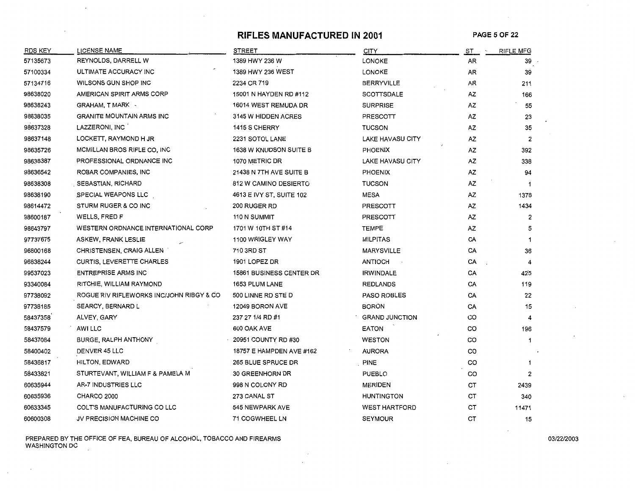## **RIFLES MANUFACTURED IN 2001** PAGE 5 OF 22

 $\cdot$ 

| <b>RDS KEY</b> | <b>LICENSE NAME</b>                      | <b>STREET</b>                   | <b>CITY</b>           | <u>ST </u> | <b>RIFLE MFG</b> |
|----------------|------------------------------------------|---------------------------------|-----------------------|------------|------------------|
| 57135673       | REYNOLDS, DARRELL W                      | 1389 HWY 236 W                  | LONOKE                | AR         | 39               |
| 57100334       | ULTIMATE ACCURACY INC                    | 1389 HWY 236 WEST               | LONOKE                | AR         | 39               |
| 57134716       | WILSONS GUN SHOP INC                     | 2234 CR 719                     | <b>BERRYVILLE</b>     | AR         | 211              |
| 98638020       | AMERICAN SPIRIT ARMS CORP                | 15001 N HAYDEN RD #112          | <b>SCOTTSDALE</b>     | AZ         | 166              |
| 98638243       | GRAHAM, T MARK -                         | 16014 WEST REMUDA DR            | <b>SURPRISE</b>       | AZ         | 55               |
| 98638035       | <b>GRANITE MOUNTAIN ARMS INC</b>         | 3145 W HIDDEN ACRES             | PRESCOTT              | AZ         | 23               |
| 98637328       | LAZZERONI, INC                           | <b>1415 S CHERRY</b>            | <b>TUCSON</b>         | AZ         | 35               |
| 98637148       | LOCKETT, RAYMOND H JR                    | 2231 SOTOL LANE                 | LAKE HAVASU CITY      | AZ         | 2                |
| 98635726       | MCMILLAN BROS RIFLE CO, INC              | <b>1638 W KNUDSON SUITE B</b>   | <b>PHOENIX</b>        | AZ         | 392              |
| 98638387       | PROFESSIONAL ORDNANCE INC                | 1070 METRIC DR                  | LAKE HAVASU CITY      | AZ         | 338              |
| 98636542       | ROBAR COMPANIES, INC                     | 21438 N 7TH AVE SUITE B         | PHOENIX               | AZ         | 94               |
| 98638308       | SEBASTIAN, RICHARD                       | <b>812 W CAMINO DESIERTO</b>    | <b>TUCSON</b>         | AZ         | 1                |
| 98638190       | SPECIAL WEAPONS LLC                      | 4613 E IVY ST, SUITE 102        | <b>MESA</b>           | AZ         | 1378             |
| 98614472       | STURM RUGER & CO INC                     | <b>200 RUGER RD</b>             | <b>PRESCOTT</b>       | AZ         | 1434             |
| 98600187       | WELLS, FRED F                            | 110 N SUMMIT                    | <b>PRESCOTT</b>       | AZ         | 2                |
| 98643797       | WESTERN ORDNANCE INTERNATIONAL CORP      | 1701 W 10TH ST #14              | <b>TEMPE</b>          | AZ         | 5                |
| 97737675       | ASKEW, FRANK LESLIE                      | 1100 WRIGLEY WAY                | <b>MILPITAS</b>       | CA         | 1                |
| 96800168       | <b>CHRISTENSEN, CRAIG ALLEN</b>          | 710 3RD ST                      | <b>MARYSVILLE</b>     | CA         | 36               |
| 96838244       | <b>CURTIS, LEVERETTE CHARLES</b>         | 1901 LOPEZ DR                   | ANTIOCH               | CA         | 4                |
| 99537023       | <b>ENTREPRISE ARMS INC</b>               | <b>15861 BUSINESS CENTER DR</b> | <b>IRWINDALE</b>      | CA         | 425              |
| 93340084       | RITCHIE, WILLIAM RAYMOND                 | 1653 PLUM LANE                  | <b>REDLANDS</b>       | CA         | 119              |
| 97738092       | ROGUE RIV RIFLEWORKS INC/JOHN RIBGY & CO | 500 LINNE RD STE D              | <b>PASO ROBLES</b>    | CA         | 22               |
| 97738185       | <b>SEARCY, BERNARD L</b>                 | 12049 BORON AVE                 | BORON                 | CA         | 15               |
| 58437358       | ALVEY, GARY                              | 237 27 1/4 RD #1                | <b>GRAND JUNCTION</b> | CO         | 4                |
| 58437579       | AWI LLC                                  | <b>600 OAK AVE</b>              | EATON                 | CO         | 196              |
| 58437084       | BURGE, RALPH ANTHONY                     | 20951 COUNTY RD #30             | <b>WESTON</b>         | CO         | 1                |
| 58400402       | DENVER 45 LLC                            | 18757 E HAMPDEN AVE #162        | <b>AURORA</b>         | CO         |                  |
| 58436817       | <b>HILTON, EDWARD</b>                    | <b>265 BLUE SPRUCE DR</b>       | PINE                  | CO         | 1                |
| 58433821       | STURTEVANT, WILLIAM F & PAMELA M         | <b>30 GREENHORN DR</b>          | <b>PUEBLO</b>         | CO         | 2                |
| 60635944       | AR-7 INDUSTRIES LLC                      | 998 N COLONY RD                 | <b>MERIDEN</b>        | CТ         | 2439             |
| 60635936       | CHARCO 2000                              | 273 CANAL ST                    | <b>HUNTINGTON</b>     | СT         | 340              |
| 60633345       | COLT'S MANUFACTURING CO LLC              | 545 NEWPARK AVE                 | <b>WEST HARTFORD</b>  | СT         | 11471            |
| 60600308       | JV PRECISION MACHINE CO                  | 71 COGWHEEL LN                  | <b>SEYMOUR</b>        | <b>CT</b>  | 15               |

PREPARED BY THE OFFICE OF FEA, BUREAU OF ALCOHOL, TOBACCO AND FIREARMS 0312212003 WASHINGTON DC

 $\sim$ 

 $\cdot$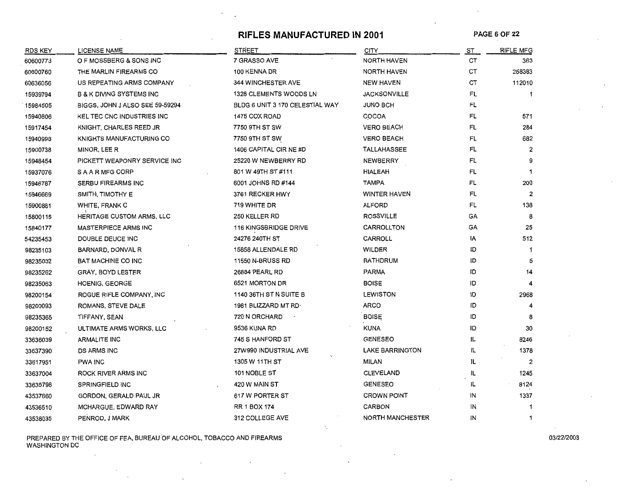# RIFLES MANUFACTURED IN 2001 PAGE 6 OF 22

 $\sim$ 

| <b>RDS KEY</b> | <b>LICENSE NAME</b>                 | <b>STREET</b>                   | <b>CITY</b>            | ST  | RIFLE MFG      |
|----------------|-------------------------------------|---------------------------------|------------------------|-----|----------------|
| 60600773       | O F MOSSBERG & SONS INC             | 7 GRASSO AVE                    | <b>NORTH HAVEN</b>     | CТ  | 363            |
| 60600760       | THE MARLIN FIREARMS CO              | 100 KENNA DR                    | <b>NORTH HAVEN</b>     | CТ  | 258383         |
| 60636056       | US REPEATING ARMS COMPANY           | <b>344 WINCHESTER AVE</b>       | <b>NEW HAVEN</b>       | CТ  | 112010         |
| 15939794       | <b>B &amp; K DIVING SYSTEMS INC</b> | 1328 CLEMENTS WOODS LN          | <b>JACKSONVILLE</b>    | FL  | 1              |
| 15984505       | BIGGS, JOHN J ALSO SEE 59-59294     | BLDG 6 UNIT 3 170 CELESTIAL WAY | <b>JUNO BCH</b>        | FL  |                |
| 15940806       | KEL TEC CNC INDUSTRIES INC          | 1475 COX ROAD                   | COCOA                  | FL  | 571            |
| 15917454       | KNIGHT, CHARLES REED JR             | 7750 9TH ST SW                  | <b>VERO BEACH</b>      | FL  | 284            |
| 15940998       | KNIGHTS MANUFACTURING CO            | 7750 9TH ST SW                  | <b>VERO BEACH</b>      | FL  | 682            |
| 15900738       | MINOR, LEE R                        | 1406 CAPITAL CIR NE #D          | TALLAHASSEE            | FL  | $\overline{2}$ |
| 15948454       | PICKETT WEAPONRY SERVICE INC        | 25220 W NEWBERRY RD             | NEWBERRY               | FL  |                |
| 15937076       | S A A R MFG CORP                    | 801 W 49TH ST #111              | <b>HIALEAH</b>         | FL  | $\mathbf 1$    |
| 15946787       | SERBU FIREARMS INC                  | 6001 JOHNS RD #144              | <b>TAMPA</b>           | FL  | 200            |
| 15946669       | SMITH, TIMOTHY E                    | 3761 RECKER HWY                 | <b>WINTER HAVEN</b>    | FL  | $\overline{2}$ |
| 15900881       | WHITE, FRANK C                      | 719 WHITE DR                    | ALFORD                 | FL  | 138            |
| 15800115       | HERITAGE CUSTOM ARMS, LLC           | 250 KELLER RD                   | <b>ROSSVILLE</b>       | GA  | 8              |
| 15840177       | <b>MASTERPIECE ARMS INC</b>         | <b>116 KINGSBRIDGE DRIVE</b>    | CARROLLTON             | GA  | 25             |
| 54235453       | DOUBLE DEUCE INC                    | 24276 240TH ST                  | CARROLL                | IA  | 512            |
| 98235103       | BARNARD, DONVAL R                   | 15858 ALLENDALE RD              | WILDER                 | ID  | -1             |
| 98235032       | BAT MACHINE CO INC                  | <b>11550 N-BRUSS RD</b>         | RATHDRUM               | ID  | 5              |
| 98235262       | GRAY, BOYD LESTER                   | 26884 PEARL RD                  | <b>PARMA</b>           | ID  | 14             |
| 98235063       | <b>HOENIG, GEORGE</b>               | 6521 MORTON DR                  | <b>BOISE</b>           | ID  |                |
| 98200154       | ROGUE RIFLE COMPANY, INC            | 1140 36TH ST N SUITE B          | <b>LEWISTON</b>        | ID  | 2968           |
| 98200093       | ROMANS, STEVE DALE                  | 1981 BLIZZARD MT RD-            | <b>ARCO</b>            | ID  |                |
| 98235365       | TIFFANY, SEAN                       | 720 N ORCHARD                   | <b>BOISE</b>           | ID  | 8              |
| 98200152       | ULTIMATE ARMS WORKS, LLC            | 9536 KUNA RD                    | <b>KUNA</b>            | ID  | 30             |
| 33636039       | <b>ARMALITE INC</b>                 | 745 S HANFORD ST                | <b>GENESEO</b>         | IL. | 8246           |
| 33637390       | <b>DS ARMS INC</b>                  | 27W990 INDUSTRIAL AVE           | <b>LAKE BARRINGTON</b> | IL  | 1378           |
| 33617951       | PWA INC                             | 1305 W 11TH ST                  | MILAN                  | IL  | $\overline{c}$ |
| 33637004       | ROCK RIVER ARMS INC                 | 101 NOBLE ST                    | <b>CLEVELAND</b>       | IL. | 1245           |
| 33635798       | <b>SPRINGFIELD INC</b>              | 420 W MAIN ST                   | <b>GENESEO</b>         | IL  | 8124           |
| 43537660       | GORDON, GERALD PAUL JR              | 617 W PORTER ST                 | <b>CROWN POINT</b>     | IN  | 1337           |
| 43536510       | MCHARGUE, EDWARD RAY                | RR 1 BOX 174                    | CARBON                 | IN  | 1              |
| 43538035       | PENROD, J MARK                      | 312 COLLEGE AVE                 | NORTH MANCHESTER       | IN  | 1              |

PREPARED BY THE OFFICE OF FEA, BUREAU OF ALCOHOL, TOBACCO AND FIREARMS 03/22/2003 WASHINGTON DC

 $\mathbf{r}$ 

 $\sim 10^7$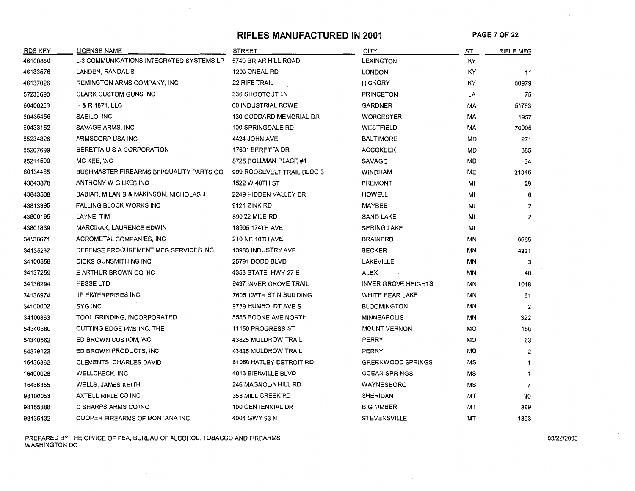# **RIFLES MANUFACTURED IN 2001 PAGE 7 OF 22**

| RDS KEY  | <b>LICENSE NAME</b>                      | <b>STREET</b>              | <b>CITY</b>                | ST | <b>RIFLE MFG</b>     |
|----------|------------------------------------------|----------------------------|----------------------------|----|----------------------|
| 46100880 | L-3 COMMUNICATIONS INTEGRATED SYSTEMS LP | 5749 BRIAR HILL ROAD       | <b>LEXINGTON</b>           | ΚY |                      |
| 46133576 | LANDEN, RANDAL S                         | 1200 ONEAL RD              | <b>LONDON</b>              | ΚY | 11                   |
| 46137026 | REMINGTON ARMS COMPANY, INC              | <b>22 RIFE TRAIL</b>       | <b>HICKORY</b>             | KY | 80979                |
| 57233690 | <b>CLARK CUSTOM GUNS INC</b>             | 336 SHOOTOUT LN            | <b>PRINCETON</b>           | LA | 75                   |
| 60400253 | H & R 1871, LLC                          | 60 INDUSTRIAL ROWE         | <b>GARDNER</b>             | МA | 51783                |
| 60435456 | SAEILO, INC                              | 130 GODDARD MEMORIAL DR    | <b>WORCESTER</b>           | МA | 1957                 |
| 60433152 | SAVAGE ARMS, INC                         | 100 SPRINGDALE RD          | WESTFIELD                  | МA | 70005                |
| 85234826 | ARMSCORP USA INC                         | 4424 JOHN AVE              | <b>BALTIMORE</b>           | MD | 271                  |
| 85207699 | BERETTA U S A CORPORATION                | 17601 BERETTA DR           | <b>ACCOKEEK</b>            | MD | 385                  |
| 85211500 | MC KEE, INC                              | 8725 BOLLMAN PLACE #1      | <b>SAVAGE</b>              | MD | 34                   |
| 60134465 | BUSHMASTER FIREARMS BFI/QUALITY PARTS CO | 999 ROOSEVELT TRAIL BLDG 3 | <b>WINDHAM</b>             | ME | 31346                |
| 43843870 | ANTHONY W GILKES INC                     | 1522 W 40TH ST             | <b>FREMONT</b>             | МI | 29                   |
| 43843508 | BABIAR, MILAN S & MAKINSON, NICHOLAS J   | 2249 HIDDEN VALLEY DR      | HOWELL                     | MI | 6                    |
| 43813395 | <b>FALLING BLOCK WORKS INC</b>           | 6121 ZINK RD               | MAYBEE                     | MI | $\overline{2}$       |
| 43800195 | LAYNE, TIM                               | 890 22 MILE RD             | <b>SAND LAKE</b>           | MI | $\overline{2}$       |
| 43801839 | MARCINAK, LAURENCE EDWIN                 | 18995 174TH AVE            | <b>SPRING LAKE</b>         | MI |                      |
| 34136671 | ACROMETAL COMPANIES, INC                 | <b>210 NE 10TH AVE</b>     | <b>BRAINERD</b>            | ΜN | 6665                 |
| 34135232 | DEFENSE PROCUREMENT MFG SERVICES INC     | 13983 INDUSTRY AVE         | <b>BECKER</b>              | ΜN | 4921                 |
| 34100358 | DICKS GUNSMITHING INC                    | 25791 DODD BLVD            | LAKEVILLE                  | ΜN | 3                    |
| 34137259 | E ARTHUR BROWN CO INC                    | 4353 STATE HWY 27 E        | ALEX                       | ΜN | 40                   |
| 34136294 | <b>HESSE LTD</b>                         | 9487 INVER GROVE TRAIL     | <b>INVER GROVE HEIGHTS</b> | ΜN | 1018                 |
| 34136974 | <b>JP ENTERPRISES INC</b>                | 7605 128TH ST N BUILDING   | WHITE BEAR LAKE            | MN | 61                   |
| 34100002 | SYG INC                                  | 9739 HUMBOLDT AVE S        | <b>BLOOMINGTON</b>         | ΜN | $\overline{2}$       |
| 34100363 | TOOL GRINDING, INCORPORATED              | 5555 BOONE AVE NORTH       | <b>MINNEAPOLIS</b>         | ΜN | 322                  |
| 54340380 | CUTTING EDGE PMS INC, THE                | 11150 PROGRESS ST          | <b>MOUNT VERNON</b>        | МO | 180                  |
| 54340562 | ED BROWN CUSTOM, INC                     | 43825 MULDROW TRAIL        | PERRY                      | MO | 63                   |
| 54339122 | ED BROWN PRODUCTS, INC.                  | 43825 MULDROW TRAIL        | PERRY                      | MО | $\overline{2}$       |
| 16436362 | <b>CLEMENTS, CHARLES DAVID</b>           | 61060 HATLEY DETROIT RD    | <b>GREENWOOD SPRINGS</b>   | мs | $\blacktriangleleft$ |
| 16400028 | <b>WELLCHECK, INC</b>                    | 4013 BIENVILLE BLVD        | <b>OCEAN SPRINGS</b>       | МS | 1                    |
| 16436355 | <b>WELLS, JAMES KEITH</b>                | 246 MAGNOLIA HILL RD       | <b>WAYNESBORO</b>          | МS | 7                    |
| 98100053 | AXTELL RIFLE CO INC                      | 353 MILL CREEK RD          | <b>SHERIDAN</b>            | мт | 30                   |
| 98155388 | C SHARPS ARMS CO INC                     | 100 CENTENNIAL DR          | <b>BIG TIMBER</b>          | МT | 389                  |
| 98135432 | COOPER FIREARMS OF MONTANA INC           | 4004 GWY 93 N              | <b>STEVENSVILLE</b>        | МT | 1393                 |

PREPARED BY THE OFFICE OF FEA, BUREAU OF ALCOHOL, TOBACCO AND FIREARMS 03/22/2003 WASHINGTON DC

 $\cdot$ 

 $\sim$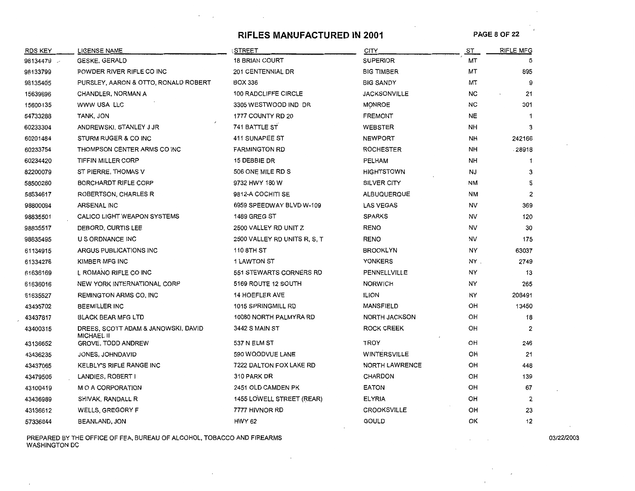# **RIFLES MANUFACTURED IN 2001** PAGE 8 OF 22

| <b>RDS KEY</b> | <b>LICENSE NAME</b>                                      | <b>STREET</b>                |                       | ST        | <b>RIFLE MFG</b> |
|----------------|----------------------------------------------------------|------------------------------|-----------------------|-----------|------------------|
| 98134479       | <b>GESKE, GERALD</b>                                     | <b>18 BRIAN COURT</b>        | <b>SUPERIOR</b>       | MT        | 5                |
| 98133799       | POWDER RIVER RIFLE CO INC                                | 201 CENTENNIAL DR            | <b>BIG TIMBER</b>     | MТ        | 895              |
| 98135405       | PURSLEY, AARON & OTTO, RONALD ROBERT                     | <b>BOX 336</b>               | <b>BIG SANDY</b>      | мт        | 9                |
| 15639696       | CHANDLER, NORMAN A                                       | 100 RADCLIFFE CIRCLE         | <b>JACKSONVILLE</b>   | NC        | 21               |
| 15600135       | WWW USA LLC                                              | 3305 WESTWOOD IND DR         | <b>MONROE</b>         | NC        | 301              |
| 54733288       | TANK, JON                                                | 1777 COUNTY RD 20            | <b>FREMONT</b>        | NE        | $\mathbf{1}$     |
| 60233304       | ANDREWSKI, STANLEY J JR                                  | 741 BATTLE ST                | WEBSTER               | NΗ        | 3                |
| 60201484       | STURM RUGER & CO INC                                     | 411 SUNAPEE ST               | <b>NEWPORT</b>        | NΗ        | 242166           |
| 60233754       | THOMPSON CENTER ARMS CO INC                              | <b>FARMINGTON RD</b>         | <b>ROCHESTER</b>      | NΗ        | 28918            |
| 60234420       | TIFFIN MILLER CORP                                       | 15 DEBBIE DR                 | PELHAM                | NН        | 1                |
| 82200079       | ST PIERRE, THOMAS V                                      | 506 ONE MILE RD S            | <b>HIGHTSTOWN</b>     | <b>NJ</b> | 3                |
| 58500280       | <b>BORCHARDT RIFLE CORP</b>                              | 9732 HWY 180 W               | SILVER CITY           | ΝM        | 5                |
| 58534617       | ROBERTSON, CHARLES R                                     | 9812-A COCHITI SE            | <b>ALBUQUERQUE</b>    | NM        | $\overline{2}$   |
| 98800094       | <b>ARSENAL INC</b>                                       | 6959 SPEEDWAY BLVD W-109     | <b>LAS VEGAS</b>      | <b>NV</b> | 369              |
| 98835501       | CALICO LIGHT WEAPON SYSTEMS                              | <b>1489 GREG ST</b>          | <b>SPARKS</b>         | NV        | 120              |
| 98835517       | DEBORD, CURTIS LEE                                       | 2500 VALLEY RD UNIT Z        | <b>RENO</b>           | NV        | 30               |
| 98835495       | U S ORDNANCE INC                                         | 2500 VALLEY RD UNITS R, S, T | <b>RENO</b>           | NV        | 175              |
| 61134915       | ARGUS PUBLICATIONS INC                                   | 110 8TH ST                   | <b>BROOKLYN</b>       | NY        | 63037            |
| 61334276       | KIMBER MFG INC                                           | <b>1 LAWTON ST</b>           | <b>YONKERS</b>        | NY.       | 2749             |
| 61636169       | L ROMANO RIFLE CO INC                                    | 551 STEWARTS CORNERS RD      | PENNELLVILLE          | NY        | 13               |
| 61636016       | NEW YORK INTERNATIONAL CORP                              | 5169 ROUTE 12 SOUTH          | <b>NORWICH</b>        | NY        | 265              |
| 61635527       | REMINGTON ARMS CO, INC                                   | <b>14 HOEFLER AVE</b>        | <b>ILION</b>          | NY        | 208491           |
| 43435702       | <b>BEEMILLER INC</b>                                     | 1015 SPRINGMILL RD           | MANSFIELD             | OH        | 13450            |
| 43437817       | <b>BLACK BEAR MFG LTD</b>                                | 10080 NORTH PALMYRA RD       | <b>NORTH JACKSON</b>  | OH        | 18               |
| 43400315       | DREES, SCOTT ADAM & JANOWSKI, DAVID<br><b>MICHAEL II</b> | 3442 S MAIN ST               | ROCK CREEK            | OH        | $\overline{c}$   |
| 43136652       | <b>GROVE, TODD ANDREW</b>                                | 537 N ELM ST                 | TROY                  | OН        | 246              |
| 43436235       | JONES, JOHNDAVID                                         | 590 WOODVUE LANE             | <b>WINTERSVILLE</b>   | OH        | 21               |
| 43437065       | KELBLY'S RIFLE RANGE INC                                 | 7222 DALTON FOX LAKE RD      | <b>NORTH LAWRENCE</b> | OH        | 448              |
| 43479505       | LANDIES, ROBERT I                                        | 310 PARK DR                  | CHARDON               | OH        | 139              |
| 43100419       | M O A CORPORATION                                        | 2451 OLD CAMDEN PK           | <b>EATON</b>          | OH        | 67               |
| 43436989       | SHIVAK, RANDALL R                                        | 1455 LOWELL STREET (REAR)    | <b>ELYRIA</b>         | OH        | 2                |
| 43136612       | <b>WELLS, GREGORY F</b>                                  | 7777 HIVNOR RD               | <b>CROOKSVILLE</b>    | OH        | 23               |
| 57336844       | <b>BEANLAND, JON</b>                                     | HWY 62                       | <b>GOULD</b>          | OK        | 12               |

PREPARED BY THE OFFICE OF FEA, BUREAU OF ALCOHOL, TOBACCO AND FIREARMS 03/22/2003 WASHINGTON DC

 $\mathbf{r}$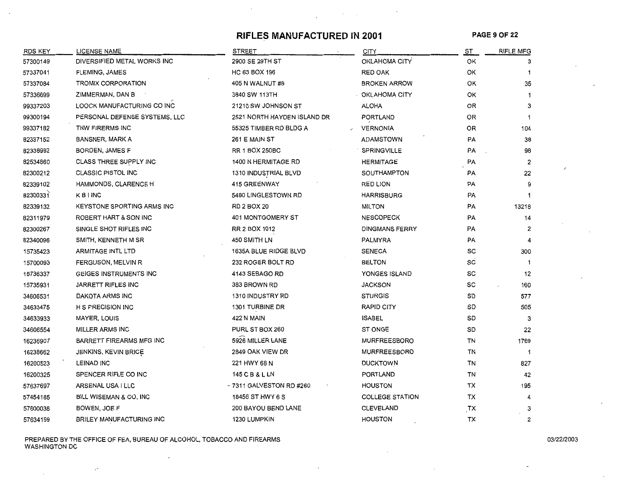#### **RIFLES MANUFACTURED IN 2001 PAGE 9 OF 22**

| RDS KEY  | <b>LICENSE NAME</b>               | <b>STREET</b>               | <b>CITY</b>            | ST | <b>RIFLE MFG</b> |
|----------|-----------------------------------|-----------------------------|------------------------|----|------------------|
| 57300149 | DIVERSIFIED METAL WORKS INC       | 2900 SE 29TH ST             | OKLAHOMA CITY          | ОК | 3                |
| 57337041 | <b>FLEMING JAMES</b>              | HC 63 BOX 196               | RED OAK                | ОK | 1                |
| 57337084 | TROMIX CORPORATION                | 405 N WALNUT #8             | <b>BROKEN ARROW</b>    | ОΚ | 35               |
| 57336699 | ZIMMERMAN, DAN B                  | 3840 SW 113TH               | OKLAHOMA CITY          | ОΚ | 1                |
| 99337203 | LOOCK MANUFACTURING CO INC        | 21210 SW JOHNSON ST         | <b>ALOHA</b>           | OR | 3                |
| 99300194 | PERSONAL DEFENSE SYSTEMS, LLC     | 2521 NORTH HAYDEN ISLAND DR | PORTLAND               | OR | -1               |
| 99337182 | TNW FIRERMS INC                   | 55325 TIMBER RD BLDG A      | <b>VERNONIA</b>        | OR | 104              |
| 82337152 | <b>BANSNER, MARK A</b>            | 261 E MAIN ST               | ADAMSTOWN              | PA | 38               |
| 82338992 | BORDEN, JAMES F                   | <b>RR 1 BOX 250BC</b>       | SPRINGVILLE            | PA | 98               |
| 82534860 | CLASS THREE SUPPLY INC            | 1400 N HERMITAGE RD         | <b>HERMITAGE</b>       | PA | 2                |
| 82300212 | <b>CLASSIC PISTOL INC</b>         | 1310 INDUSTRIAL BLVD        | SOUTHAMPTON            | PA | 22               |
| 82339102 | HAMMONDS, CLARENCE H              | <b>415 GREENWAY</b>         | RED LION               | PA | 9                |
| 82300331 | <b>KBINC</b>                      | 5480 LINGLESTOWN RD         | <b>HARRISBURG</b>      | PA |                  |
| 82339132 | <b>KEYSTONE SPORTING ARMS INC</b> | RD 2 BOX 20                 | <b>MILTON</b>          | PA | 13218            |
| 82311979 | ROBERT HART & SON INC             | 401 MONTGOMERY ST           | <b>NESCOPECK</b>       | PA | 14               |
| 82300267 | SINGLE SHOT RIFLES INC            | RR 2 BOX 1012               | <b>DINGMANS FERRY</b>  | PA | $\overline{2}$   |
| 82340096 | SMITH, KENNETH M SR               | 450 SMITH LN                | PALMYRA                | PA | 4                |
| 15735423 | <b>ARMITAGE INTL LTD</b>          | 1635A BLUE RIDGE BLVD       | <b>SENECA</b>          | SC | 300              |
| 15700093 | FERGUSON, MELVIN R                | 232 ROGER BOLT RD           | <b>BELTON</b>          | SC | -1               |
| 15736337 | <b>GEIGES INSTRUMENTS INC</b>     | 4143 SEBAGO RD              | YONGES ISLAND          | SC | 12               |
| 15735931 | JARRETT RIFLES INC                | 383 BROWN RD                | <b>JACKSON</b>         | sc | 160              |
| 34606531 | DAKOTA ARMS INC                   | 1310 INDUSTRY RD            | <b>STURGIS</b>         | SD | 577              |
| 34633475 | H S PRECISION INC                 | 1301 TURBINE DR             | RAPID CITY             | SD | 505              |
| 34633933 | MAYER, LOUIS                      | 422 N MAIN                  | <b>ISABEL</b>          | SD | 3                |
| 34606554 | MILLER ARMS INC                   | PURL ST BOX 260             | <b>ST ONGE</b>         | SD | 22               |
| 16236907 | <b>BARRETT FIREARMS MFG INC</b>   | 5926 MILLER LANE            | <b>MURFREESBORO</b>    | TN | 1769             |
| 16238662 | JENKINS, KEVIN BRICE              | 2849 OAK VIEW DR            | MURFREESBORO           | TN | 1                |
| 16200523 | <b>LEINAD INC</b>                 | 221 HWY 68 N                | <b>DUCKTOWN</b>        | TN | 827              |
| 16200325 | SPENCER RIFLE CO INC              | 145 C B & L LN              | PORTLAND               | TN | 42               |
| 57637697 | ARSENAL USA I LLC                 | - 7311 GALVESTON RD #260    | <b>HOUSTON</b>         | тх | 195              |
| 57454185 | BILL WISEMAN & CO, INC            | 18456 ST HWY 6 S            | <b>COLLEGE STATION</b> | ТX | 4                |
| 57600038 | BOWEN, JOE F                      | 200 BAYOU BEND LANE         | CLEVELAND              | TX | 3                |
| 57634159 | BRILEY MANUFACTURING INC          | 1230 LUMPKIN                | HOUSTON                | TX | 2                |

PREPARED BY THE OFFICE OF FEA, BUREAU OF ALCOHOL, TOBACCO AND FIREARMS 03/22/2003 WASHINGTON DC

 $\mathcal{S}$ 

 $\ddot{\phantom{1}}$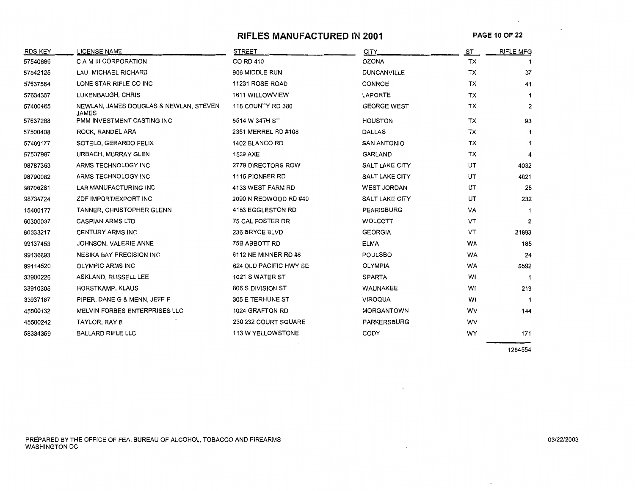## **RIFLES MANUFACTURED IN 2001**

**PAGE** 10 OF 22

 $\ddot{\phantom{a}}$ 

| <b>RDS KEY</b> | <b>LICENSE NAME</b>                                    | <b>STREET</b>          | <b>CITY</b>           | ST        | <b>RIFLE MFG</b> |
|----------------|--------------------------------------------------------|------------------------|-----------------------|-----------|------------------|
| 57540686       | C A M III CORPORATION                                  | CO RD 410              | <b>OZONA</b>          | <b>TX</b> |                  |
| 57542125       | LAU, MICHAEL RICHARD                                   | 906 MIDDLE RUN         | <b>DUNCANVILLE</b>    | TX        | 37               |
| 57637564       | LONE STAR RIFLE CO INC                                 | 11231 ROSE ROAD        | CONROE                | TX        | 41               |
| 57634367       | LUKENBAUGH, CHRIS                                      | 1611 WILLOWVIEW        | LAPORTE               | <b>TX</b> |                  |
| 57400465       | NEWLAN, JAMES DOUGLAS & NEWLAN, STEVEN<br><b>JAMES</b> | 118 COUNTY RD 380      | <b>GEORGE WEST</b>    | TX        | $\overline{2}$   |
| 57637288       | PMM INVESTMENT CASTING INC                             | 5514 W 34TH ST         | <b>HOUSTON</b>        | TX        | 93               |
| 57500408       | ROCK, RANDEL ARA                                       | 2351 MERREL RD #108    | <b>DALLAS</b>         | TX        | 1                |
| 57400177       | SOTELO, GERARDO FELIX                                  | 1402 BLANCO RD         | <b>SAN ANTONIO</b>    | TX        | 1                |
| 57537987       | URBACH, MURRAY GLEN                                    | 1529 AXE               | <b>GARLAND</b>        | TX        | 4                |
| 98787363       | ARMS TECHNOLOGY INC                                    | 2779 DIRECTORS ROW     | SALT LAKE CITY        | UT        | 4032             |
| 98790082       | ARMS TECHNOLOGY INC                                    | 1115 PIONEER RD        | SALT LAKE CITY        | UT        | 4021             |
| 98706281       | LAR MANUFACTURING INC                                  | 4133 WEST FARM RD      | <b>WEST JORDAN</b>    | UT        | 28               |
| 98734724       | ZDF IMPORT/EXPORT INC                                  | 2090 N REDWOOD RD #40  | <b>SALT LAKE CITY</b> | UT        | 232              |
| 15400177       | TANNER, CHRISTOPHER GLENN                              | 4183 EGGLESTON RD      | <b>PEARISBURG</b>     | VA        |                  |
| 60300037       | <b>CASPIAN ARMS LTD</b>                                | 75 CAL FOSTER DR       | WOLCOTT               | VT        | $\mathbf{2}$     |
| 60333217       | <b>CENTURY ARMS INC</b>                                | 236 BRYCE BLVD         | <b>GEORGIA</b>        | VT        | 21893            |
| 99137453       | JOHNSON, VALERIE ANNE                                  | 75B ABBOTT RD          | <b>ELMA</b>           | WA        | 185              |
| 99136693       | <b>NESIKA BAY PRECISION INC</b>                        | 6112 NE MINNER RD #8   | <b>POULSBO</b>        | WA        | 24               |
| 99114520       | OLYMPIC ARMS INC                                       | 624 OLD PACIFIC HWY SE | <b>OLYMPIA</b>        | <b>WA</b> | 5592             |
| 33900226       | ASKLAND, RUSSELL LEE                                   | 1021 S WATER ST        | <b>SPARTA</b>         | WI        | -1               |
| 33910305       | HORSTKAMP, KLAUS                                       | 806 S DIVISION ST      | WAUNAKEE              | WI        | 213              |
| 33937187       | PIPER, DANE G & MENN, JEFF F                           | 305 E TERHUNE ST       | <b>VIROQUA</b>        | WI        | -1               |
| 45500132       | MELVIN FORBES ENTERPRISES LLC                          | 1024 GRAFTON RD        | <b>MORGANTOWN</b>     | <b>WV</b> | 144              |
| 45500242       | TAYLOR, RAY B                                          | 230 232 COURT SQUARE   | PARKERSBURG           | WV        |                  |
| 58334359       | <b>BALLARD RIFLE LLC</b>                               | 113 W YELLOWSTONE      | CODY                  | WY        | 171              |

1284554

 $\overline{\phantom{a}}$ 

 $\mathbf{r}$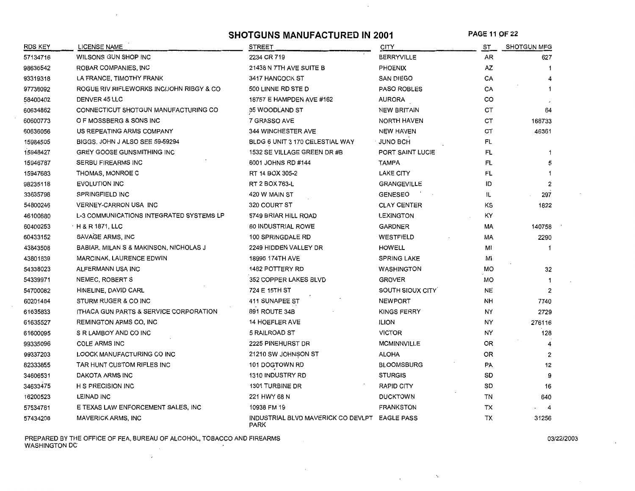**SHOTGUNS MANUFACTURED IN 2001 PAGE 11 OF 22** 

 $\cdot$ 

| RDS KEY  | <b>LICENSE NAME</b>                               | <b>STREET</b>                                         | CITY               | ST        | <b>SHOTGUN MFG</b>      |
|----------|---------------------------------------------------|-------------------------------------------------------|--------------------|-----------|-------------------------|
| 57134716 | WILSONS GUN SHOP INC                              | 2234 CR 719                                           | <b>BERRYVILLE</b>  | AR        | 627                     |
| 98636542 | ROBAR COMPANIES, INC                              | 21438 N 7TH AVE SUITE B                               | <b>PHOENIX</b>     | ΑZ        |                         |
| 93319318 | LA FRANCE, TIMOTHY FRANK                          | 3417 HANCOCK ST                                       | <b>SAN DIEGO</b>   | CA        |                         |
| 97738092 | ROGUE RIV RIFLEWORKS INC/JOHN RIBGY & CO          | 500 LINNE RD STE D                                    | <b>PASO ROBLES</b> | CA        |                         |
| 58400402 | <b>DENVER 45 LLC</b>                              | 18757 E HAMPDEN AVE #162                              | AURORA             | CO        |                         |
| 60634862 | CONNECTICUT SHOTGUN MANUFACTURING CO              | 35 WOODLAND ST                                        | <b>NEW BRITAIN</b> | СT        | 64                      |
| 60600773 | O F MOSSBERG & SONS INC                           | 7 GRASSO AVE                                          | <b>NORTH HAVEN</b> | <b>CT</b> | 168733                  |
| 60636056 | US REPEATING ARMS COMPANY                         | 344 WINCHESTER AVE                                    | <b>NEW HAVEN</b>   | СT        | 46361                   |
| 15984505 | BIGGS, JOHN J ALSO SEE 59-59294                   | BLDG 6 UNIT 3 170 CELESTIAL WAY                       | JUNO BCH           | FL        |                         |
| 15948427 | <b>GREY GOOSE GUNSMITHING INC</b>                 | 1532 SE VILLAGE GREEN DR #B                           | PORT SAINT LUCIE   | FL        |                         |
| 15946787 | <b>SERBU FIREARMS INC</b>                         | 6001 JOHNS RD #144                                    | <b>TAMPA</b>       | FL        | 5                       |
| 15947683 | THOMAS, MONROE C                                  | RT 14 BOX 305-2                                       | <b>LAKE CITY</b>   | FL        |                         |
| 98235118 | EVOLUTION INC                                     | RT 2 BOX 763-L                                        | <b>GRANGEVILLE</b> | ID        | 2                       |
| 33635798 | SPRINGFIELD INC                                   | 420 W MAIN ST                                         | <b>GENESEO</b>     | IL        | 297                     |
| 54800246 | VERNEY-CARRON USA INC                             | 320 COURT ST                                          | <b>CLAY CENTER</b> | ΚS        | 1822                    |
| 46100880 | <b>L-3 COMMUNICATIONS INTEGRATED SYSTEMS LP</b>   | 5749 BRIAR HILL ROAD                                  | <b>LEXINGTON</b>   | KY        |                         |
| 60400253 | <b>H&amp;R1871, LLC</b>                           | 60 INDUSTRIAL ROWE                                    | <b>GARDNER</b>     | МA        | 140758                  |
| 60433152 | SAVAGE ARMS, INC                                  | 100 SPRINGDALE RD                                     | WESTFIELD          | МA        | 2290                    |
| 43843508 | BABIAR, MILAN S & MAKINSON, NICHOLAS J            | 2249 HIDDEN VALLEY DR                                 | <b>HOWELL</b>      | MI        |                         |
| 43801839 | <b>MARCINAK, LAURENCE EDWIN</b>                   | 18995 174TH AVE                                       | <b>SPRING LAKE</b> | MI        |                         |
| 54338023 | ALFERMANN USA INC                                 | 1482 POTTERY RD                                       | <b>WASHINGTON</b>  | MO        | 32                      |
| 54339971 | NEMEC, ROBERT S                                   | 352 COPPER LAKES BLVD                                 | <b>GROVER</b>      | МO        |                         |
| 54700082 | HINELINE, DAVID CARL                              | 724 E 15TH ST                                         | SOUTH SIOUX CITY   | NE        | 2                       |
| 60201484 | STURM RUGER & CO INC                              | 411 SUNAPEE ST                                        | <b>NEWPORT</b>     | NH        | 7740                    |
| 61635833 | <b>ITHACA GUN PARTS &amp; SERVICE CORPORATION</b> | 891 ROUTE 34B                                         | <b>KINGS FERRY</b> | NY        | 2729                    |
| 61635527 | REMINGTON ARMS CO, INC                            | 14 HOEFLER AVE                                        | <b>ILION</b>       | NY        | 276116                  |
| 61600095 | S R LAMBOY AND CO INC                             | 5 RAILROAD ST                                         | <b>VICTOR</b>      | NY.       | 128                     |
| 99335096 | <b>COLE ARMS INC</b>                              | 2225 PINEHURST DR                                     | <b>MCMINNVILLE</b> | OR.       |                         |
| 99337203 | LOOCK MANUFACTURING CO INC                        | 21210 SW JOHNSON ST                                   | <b>ALOHA</b>       | 0R        | 2                       |
| 82333855 | TAR HUNT CUSTOM RIFLES INC                        | 101 DOGTOWN RD                                        | <b>BLOOMSBURG</b>  | <b>PA</b> | 12                      |
| 34606531 | DAKOTA ARMS INC                                   | <b>1310 INDUSTRY RD</b>                               | <b>STURGIS</b>     | SD        | 9                       |
| 34633475 | <b>H S PRECISION INC</b>                          | 1301 TURBINE DR                                       | <b>RAPID CITY</b>  | SD        | 16                      |
| 16200523 | LEINAD INC                                        | 221 HWY 68 N                                          | <b>DUCKTOWN</b>    | TN        | 640                     |
| 57534781 | E TEXAS LAW ENFORCEMENT SALES, INC                | 10938 FM 19                                           | <b>FRANKSTON</b>   | ТX        | $\overline{\mathbf{4}}$ |
| 57434208 | MAVERICK ARMS, INC                                | INDUSTRIAL BLVD MAVERICK CO DEVLPT EAGLE PASS<br>PARK |                    | ТX        | 31256                   |

PREPARED BY THE OFFICE OF FEA, BUREAU OF ALCOHOL, TOBACCO AND FIREARMS 03/22/2003 WASHINGTON DC

 $\mathcal{L}_{\mathbf{r}}$ 

 $\mathbf{r}$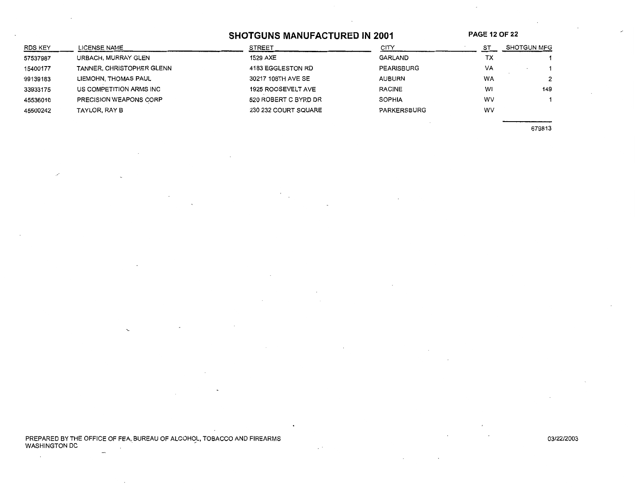# SHOTGUNS MANUFACTURED IN 2001 PAGE 12 OF 22

| RDS KEY  | LICENSE NAME                  | <b>STREET</b>             | CITY          | SТ        | <b>SHOTGUN MFG</b> |
|----------|-------------------------------|---------------------------|---------------|-----------|--------------------|
| 57537987 | URBACH, MURRAY GLEN           | 1529 AXE                  | GARLAND       | тх        |                    |
| 15400177 | TANNER, CHRISTOPHER GLENN     | 4183 EGGLESTON RD         | PEARISBURG    | VA        |                    |
| 99139183 | LIEMOHN, THOMAS PAUL          | 30217 108TH AVE SE        | <b>AUBURN</b> | <b>WA</b> |                    |
| 33933175 | US COMPETITION ARMS INC       | <b>1925 ROOSEVELT AVE</b> | <b>RACINE</b> | W1        | 149                |
| 45536010 | <b>PRECISION WEAPONS CORP</b> | 520 ROBERT C BYRD DR      | <b>SOPHIA</b> | wv        |                    |
| 45500242 | TAYLOR, RAY B                 | 230 232 COURT SQUARE      | PARKERSBURG   | w٧        |                    |
|          |                               |                           |               |           |                    |

679813

PREPARED BY THE OFFICE OF FEA, BUREAU OF ALCOHOL, TOBACCO AND FIREARMS 03/22/2003 WASHINGTON DC . -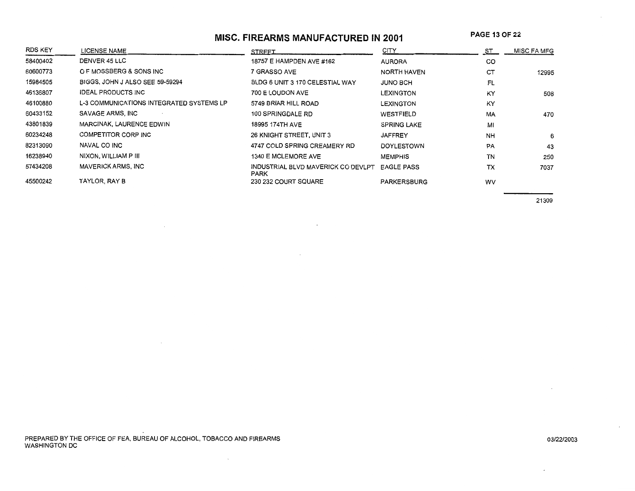# **MISC. FIREARMS MANUFACTURED IN 2001**

**PAGE 13 OF 22** 

| <b>RDS KEY</b> | LICENSE NAME                             | <b>STREET</b>                              | CITY               | ST        | MISC FA MFG |
|----------------|------------------------------------------|--------------------------------------------|--------------------|-----------|-------------|
| 58400402       | DENVER 45 LLC                            | 18757 E HAMPDEN AVE #162                   | <b>AURORA</b>      | CO        |             |
| 60600773       | O F MOSSBERG & SONS INC                  | 7 GRASSO AVE                               | <b>NORTH HAVEN</b> | CT        | 12995       |
| 15984505       | BIGGS, JOHN J ALSO SEE 59-59294          | BLDG 6 UNIT 3 170 CELESTIAL WAY            | JUNO BCH           | FL        |             |
| 46136807       | <b>IDEAL PRODUCTS INC</b>                | 700 E LOUDON AVE                           | LEXINGTON          | KY        | 508         |
| 46100880       | L-3 COMMUNICATIONS INTEGRATED SYSTEMS LP | 5749 BRIAR HILL ROAD                       | LEXINGTON          | KY        |             |
| 60433152       | SAVAGE ARMS, INC                         | 100 SPRINGDALE RD                          | WESTFIELD          | MA        | 470         |
| 43801839       | MARCINAK, LAURENCE EDWIN                 | 18995 174TH AVE                            | <b>SPRING LAKE</b> | MI        |             |
| 60234248       | COMPETITOR CORP INC                      | 26 KNIGHT STREET, UNIT 3                   | <b>JAFFREY</b>     | <b>NH</b> | 6           |
| 82313090       | NAVAL CO INC                             | 4747 COLD SPRING CREAMERY RD               | <b>DOYLESTOWN</b>  | PA        | 43          |
| 16238940       | NIXON, WILLIAM P III                     | 1340 E MCLEMORE AVE                        | <b>MEMPHIS</b>     | TN        | 250         |
| 57434208       | <b>MAVERICK ARMS, INC</b>                | INDUSTRIAL BLVD MAVERICK CO DEVLPT<br>PARK | <b>EAGLE PASS</b>  | TX        | 7037        |
| 45500242       | TAYLOR, RAY B                            | 230 232 COURT SQUARE                       | <b>PARKERSBURG</b> | WV        |             |

21309

PREPARED BY THE OFFICE OF FEA. BUREAU OF ALCOHOL, TOBACCO AND FIREARMS WASHINGTON DC

 $\sim$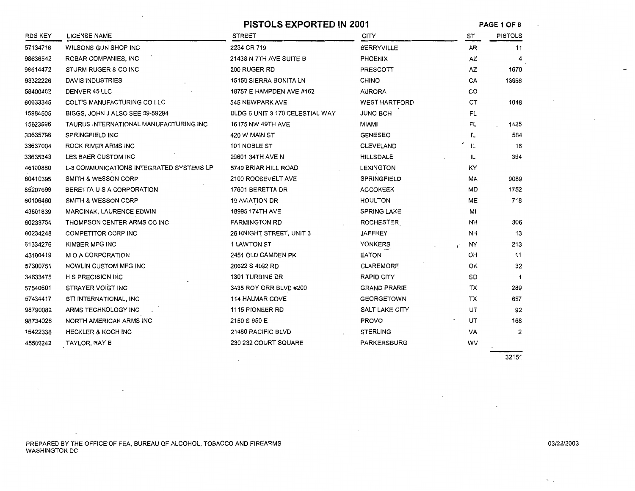|          |                                          | <b>PISTOLS EXPORTED IN 2001</b> |                      | PAGE 1 OF 8                       |                |
|----------|------------------------------------------|---------------------------------|----------------------|-----------------------------------|----------------|
| RDS KEY  | <b>LICENSE NAME</b>                      | <b>STREET</b>                   | CITY                 | ST                                | <b>PISTOLS</b> |
| 57134716 | WILSONS GUN SHOP INC                     | 2234 CR 719                     | <b>BERRYVILLE</b>    | AR                                | 11             |
| 98636542 | ROBAR COMPANIES, INC                     | 21438 N 7TH AVE SUITE B         | <b>PHOENIX</b>       | AZ                                | 4              |
| 98614472 | STURM RUGER & CO INC                     | 200 RUGER RD                    | PRESCOTT             | AZ                                | 1670           |
| 93322226 | DAVIS INDUSTRIES                         | 15150 SIERRA BONITA LN          | <b>CHINO</b>         | CA                                | 13656          |
| 58400402 | DENVER 45 LLC                            | 18757 E HAMPDEN AVE #162        | <b>AURORA</b>        | CO                                |                |
| 60633345 | COLT'S MANUFACTURING CO LLC              | 545 NEWPARK AVE                 | <b>WEST HARTFORD</b> | СT                                | 1048           |
| 15984505 | BIGGS, JOHN J ALSO SEE 59-59294          | BLDG 6 UNIT 3 170 CELESTIAL WAY | <b>JUNO BCH</b>      | FL                                |                |
| 15923596 | TAURUS INTERNATIONAL MANUFACTURING INC   | 16175 NW 49TH AVE               | MIAMI                | FL                                | 1425           |
| 33635798 | SPRINGFIELD INC                          | 420 W MAIN ST                   | <b>GENESEO</b>       | IL.                               | 584            |
| 33637004 | ROCK RIVER ARMS INC                      | 101 NOBLE ST                    | CLEVELAND            | IL                                | 16             |
| 33635343 | LES BAER CUSTOM INC                      | 29601 34TH AVE N                | <b>HILLSDALE</b>     | IL                                | 394            |
| 46100880 | L-3 COMMUNICATIONS INTEGRATED SYSTEMS LP | 5749 BRIAR HILL ROAD            | <b>LEXINGTON</b>     | KY                                |                |
| 60410395 | SMITH & WESSON CORP                      | 2100 ROOSEVELT AVE              | SPRINGFIELD          | МA                                | 9089           |
| 85207699 | BERETTA U S A CORPORATION                | 17601 BERETTA DR                | <b>ACCOKEEK</b>      | MD                                | 1752           |
| 60106460 | SMITH & WESSON CORP                      | <b>19 AVIATION DR</b>           | <b>HOULTON</b>       | ME                                | 718            |
| 43801839 | <b>MARCINAK, LAURENCE EDWIN</b>          | 18995 174TH AVE                 | <b>SPRING LAKE</b>   | MI                                |                |
| 60233754 | THOMPSON CENTER ARMS CO INC              | <b>FARMINGTON RD</b>            | ROCHESTER            | <b>NH</b>                         | 306            |
| 60234248 | COMPETITOR CORP INC                      | 26 KNIGHT STREET, UNIT 3        | <b>JAFFREY</b>       | NΗ                                | 13             |
| 61334276 | KIMBER MFG INC                           | 1 LAWTON ST                     | YONKERS              | NY<br>$\mathcal{L}_{\mathcal{L}}$ | 213            |
| 43100419 | M O A CORPORATION                        | 2451 OLD CAMDEN PK              | <b>EATON</b>         | OH                                | 11             |
| 57300751 | NOWLIN CUSTOM MFG INC                    | 20622 S 4092 RD                 | <b>CLAREMORE</b>     | ΟК                                | 32             |
| 34633475 | <b>H S PRECISION INC</b>                 | 1301 TURBINE DR                 | RAPID CITY           | SD                                | 1              |
| 57540601 | STRAYER VOIGT INC                        | 3435 ROY ORR BLVD #200          | <b>GRAND PRARIE</b>  | тх                                | 289            |
| 57434417 | STI INTERNATIONAL, INC                   | 114 HALMAR COVE                 | <b>GEORGETOWN</b>    | TX                                | 657            |
| 98790082 | ARMS TECHNOLOGY INC                      | 1115 PIONEER RD                 | SALT LAKE CITY       | UT                                | 92             |
| 98734026 | NORTH AMERICAN ARMS INC                  | 2150 S 950 E                    | <b>PROVO</b>         | UT                                | 168            |
| 15422338 | <b>HECKLER &amp; KOCH INC</b>            | 21480 PACIFIC BLVD              | <b>STERLING</b>      | VA                                | 2              |
| 45500242 | TAYLOR, RAY B                            | 230 232 COURT SQUARE            | PARKERSBURG          | WV                                |                |

32151

PREPARED BY THE OFFICE OF FEA, BUREAU OF ALCOHOL, TOBACCO AND FIREARMS WASHINGTON DC

 $\ddot{\phantom{a}}$ 

 $\sim$   $_{\odot}$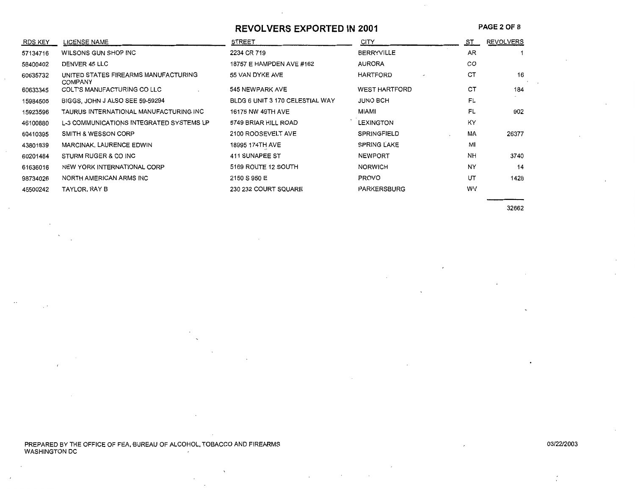#### **REVOLVERS EXPORTED IN 2001**

**PAGE** 2 OF 8

| RDS KEY  | <b>LICENSE NAME</b>                                    | <b>STREET</b>                   | <b>CITY</b>          | ST.       | <b>REVOLVERS</b> |
|----------|--------------------------------------------------------|---------------------------------|----------------------|-----------|------------------|
| 57134716 | WILSONS GUN SHOP INC                                   | 2234 CR 719                     | <b>BERRYVILLE</b>    | <b>AR</b> |                  |
| 58400402 | DENVER 45 LLC                                          | 18757 E HAMPDEN AVE #162        | <b>AURORA</b>        | CO        |                  |
| 60635732 | UNITED STATES FIREARMS MANUFACTURING<br><b>COMPANY</b> | 55 VAN DYKE AVE                 | HARTFORD             | CT        | 16               |
| 60633345 | COLT'S MANUFACTURING CO LLC                            | 545 NEWPARK AVE                 | <b>WEST HARTFORD</b> | CT        | 184              |
| 15984505 | BIGGS, JOHN J ALSO SEE 59-59294                        | BLDG 6 UNIT 3 170 CELESTIAL WAY | <b>JUNO BCH</b>      | FL        |                  |
| 15923596 | TAURUS INTERNATIONAL MANUFACTURING INC                 | 16175 NW 49TH AVE               | MIAMI                | FL        | 902              |
| 46100880 | L-3 COMMUNICATIONS INTEGRATED SYSTEMS LP               | 5749 BRIAR HILL ROAD            | <b>LEXINGTON</b>     | KY        |                  |
| 60410395 | SMITH & WESSON CORP                                    | 2100 ROOSEVELT AVE              | SPRINGFIELD          | MA        | 26377            |
| 43801839 | MARCINAK, LAURENCE EDWIN                               | 18995 174TH AVE                 | <b>SPRING LAKE</b>   | MI        |                  |
| 60201484 | STURM RUGER & CO INC                                   | 411 SUNAPEE ST                  | <b>NEWPORT</b>       | <b>NH</b> | 3740             |
| 61636016 | NEW YORK INTERNATIONAL CORP                            | 5169 ROUTE 12 SOUTH             | <b>NORWICH</b>       | NY        | 14               |
| 98734026 | NORTH AMERICAN ARMS INC                                | 2150 S 950 E                    | <b>PROVO</b>         | UT        | 1428             |
| 45500242 | TAYLOR, RAY B                                          | 230 232 COURT SQUARE            | PARKERSBURG          | WV        |                  |

32662

PREPARED BY THE OFFICE OF FEA, BUREAU OF ALCOHOL, TOBACCO AND FIREARMS<br>WASHINGTON DC

0312212003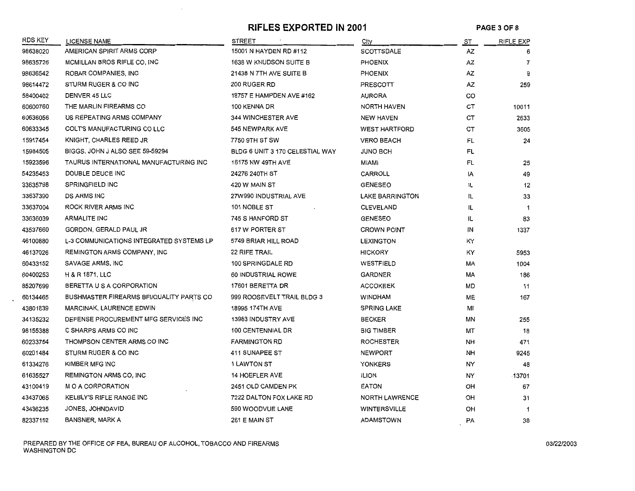#### **RIFLES EXPORTED IN 2001** PAGE 3 OF 8

| RDS KEY  | <b>LICENSE NAME</b>                      | <b>STREET</b>                   | City                   | ST. | RIFLE EXP      |
|----------|------------------------------------------|---------------------------------|------------------------|-----|----------------|
| 98638020 | AMERICAN SPIRIT ARMS CORP                | 15001 N HAYDEN RD #112          | SCOTTSDALE             | AZ  | 6              |
| 98635726 | MCMILLAN BROS RIFLE CO, INC              | 1638 W KNUDSON SUITE B          | PHOENIX                | AZ  | $\overline{7}$ |
| 98636542 | ROBAR COMPANIES, INC                     | 21438 N 7TH AVE SUITE B         | <b>PHOENIX</b>         | AZ  | 9              |
| 98614472 | STURM RUGER & CO INC                     | 200 RUGER RD                    | <b>PRESCOTT</b>        | AZ  | 259            |
| 58400402 | DENVER 45 LLC                            | 18757 E HAMPDEN AVE #162        | <b>AURORA</b>          | CO  |                |
| 60600760 | THE MARLIN FIREARMS CO                   | 100 KENNA DR                    | NORTH HAVEN            | CТ  | 10611          |
| 60636056 | US REPEATING ARMS COMPANY                | <b>344 WINCHESTER AVE</b>       | <b>NEW HAVEN</b>       | CT  | 2633           |
| 60633345 | COLT'S MANUFACTURING CO LLC              | 545 NEWPARK AVE                 | <b>WEST HARTFORD</b>   | СT  | 3605           |
| 15917454 | KNIGHT, CHARLES REED JR                  | 7750 9TH ST SW                  | <b>VERO BEACH</b>      | FL  | 24             |
| 15984505 | BIGGS, JOHN J ALSO SEE 59-59294          | BLDG 6 UNIT 3 170 CELESTIAL WAY | JUNO BCH               | FL  |                |
| 15923596 | TAURUS INTERNATIONAL MANUFACTURING INC   | 16175 NW 49TH AVE               | MIAMI                  | FL  | 25             |
| 54235453 | DOUBLE DEUCE INC                         | 24276 240TH ST                  | CARROLL                | IA  | 49             |
| 33635798 | <b>SPRINGFIELD INC</b>                   | 420 W MAIN ST                   | <b>GENESEO</b>         | IL  | 12             |
| 33637390 | <b>DS ARMS INC</b>                       | 27W990 INDUSTRIAL AVE           | <b>LAKE BARRINGTON</b> | IL  | 33             |
| 33637004 | ROCK RIVER ARMS INC                      | 101 NOBLE ST                    | <b>CLEVELAND</b>       | IL  | $\mathbf{1}$   |
| 33636039 | <b>ARMALITE INC</b>                      | 745 S HANFORD ST                | <b>GENESEO</b>         | IL. | 83             |
| 43537660 | GORDON, GERALD PAUL JR                   | 617 W PORTER ST                 | <b>CROWN POINT</b>     | ΙN  | 1337           |
| 46100880 | L-3 COMMUNICATIONS INTEGRATED SYSTEMS LP | 5749 BRIAR HILL ROAD            | <b>LEXINGTON</b>       | ΚY  |                |
| 46137026 | REMINGTON ARMS COMPANY, INC              | <b>22 RIFE TRAIL</b>            | <b>HICKORY</b>         | KY  | 5953           |
| 60433152 | SAVAGE ARMS, INC                         | 100 SPRINGDALE RD               | WESTFIELD              | МA  | 1004           |
| 60400253 | H & R 1871, LLC                          | 60 INDUSTRIAL ROWE              | <b>GARDNER</b>         | МA  | 186            |
| 85207699 | BERETTA U S A CORPORATION                | 17601 BERETTA DR                | <b>ACCOKEEK</b>        | MD  | 11             |
| 60134465 | BUSHMASTER FIREARMS BFI/QUALITY PARTS CO | 999 ROOSEVELT TRAIL BLDG 3      | <b>WINDHAM</b>         | МE  | 167            |
| 43801839 | MARCINAK, LAURENCE EDWIN                 | 18995 174TH AVE                 | <b>SPRING LAKE</b>     | MI  |                |
| 34135232 | DEFENSE PROCUREMENT MFG SERVICES INC     | 13983 INDUSTRY AVE              | <b>BECKER</b>          | MΝ  | 255            |
| 98155388 | C SHARPS ARMS CO INC                     | <b>100 CENTENNIAL DR</b>        | <b>BIG TIMBER</b>      | МT  | 18             |
| 60233754 | THOMPSON CENTER ARMS CO INC              | <b>FARMINGTON RD</b>            | <b>ROCHESTER</b>       | NН  | 471            |
| 60201484 | STURM RUGER & CO INC                     | 411 SUNAPEE ST                  | <b>NEWPORT</b>         | NH  | 9245           |
| 61334276 | KIMBER MFG INC                           | <b>1 LAWTON ST</b>              | <b>YONKERS</b>         | NY  | 48             |
| 61635527 | REMINGTON ARMS CO, INC                   | <b>14 HOEFLER AVE</b>           | <b>ILION</b>           | NY  | 13701          |
| 43100419 | M O A CORPORATION                        | 2451 OLD CAMDEN PK              | <b>EATON</b>           | OН  | 67             |
| 43437065 | KELBLY'S RIFLE RANGE INC                 | 7222 DALTON FOX LAKE RD         | <b>NORTH LAWRENCE</b>  | OH  | 31             |
| 43436235 | JONES, JOHNDAVID                         | 590 WOODVUE LANE                | <b>WINTERSVILLE</b>    | OH  | -1             |
| 82337152 | <b>BANSNER, MARK A</b>                   | 261 E MAIN ST                   | ADAMSTOWN              | PA  | 38             |

PREPARED BY THE OFFICE OF FEA, BUREAU OF ALCOHOL, TOBACCO AND FIREARMS *0312212003*  WASHINGTON DC

 $\sim$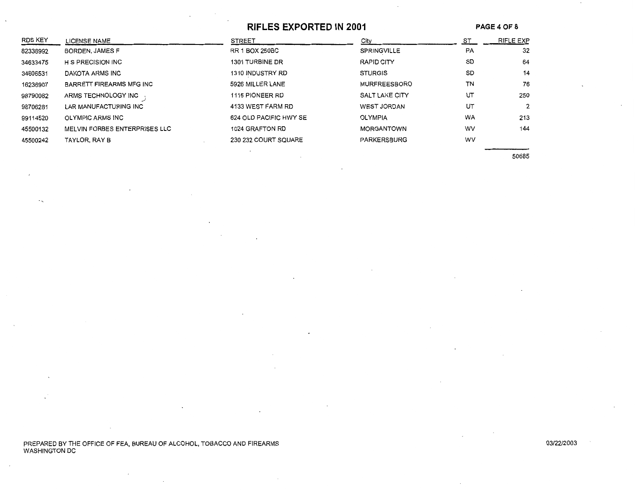#### **RIFLES EXPORTED IN 2001**

**PAGE40F8** 

| RDS KEY  | LICENSE NAME                    | <b>STREET</b>          | City               | ST | RIFLE EXP |
|----------|---------------------------------|------------------------|--------------------|----|-----------|
| 82338992 | BORDEN, JAMES F                 | <b>RR 1 BOX 250BC</b>  | <b>SPRINGVILLE</b> | PA | 32        |
| 34633475 | <b>H S PRECISION INC</b>        | 1301 TURBINE DR        | RAPID CITY         | SD | 64        |
| 34606531 | DAKOTA ARMS INC                 | 1310 INDUSTRY RD       | <b>STURGIS</b>     | SD | 14        |
| 16236907 | <b>BARRETT FIREARMS MFG INC</b> | 5926 MILLER LANE       | MURFREESBORO       | ΤN | 76        |
| 98790082 | ARMS TECHNOLOGY INC             | 1115 PIONEER RD        | SALT LAKE CITY     | UT | 250       |
| 98706281 | LAR MANUFACTURING INC           | 4133 WEST FARM RD      | WEST JORDAN        | UT | 2         |
| 99114520 | OLYMPIC ARMS INC                | 624 OLD PACIFIC HWY SE | <b>OLYMPIA</b>     | WA | 213       |
| 45500132 | MELVIN FORBES ENTERPRISES LLC   | 1024 GRAFTON RD        | MORGANTOWN         | WV | 144       |
| 45500242 | TAYLOR, RAY B                   | 230 232 COURT SQUARE   | PARKERSBURG        | WV |           |

50685

PREPARED BY THE OFFICE OF FEA, BUREAU OF ALCOHOL, TOBACCO AND FIREARMS WASHINGTON DC

 $\cdot$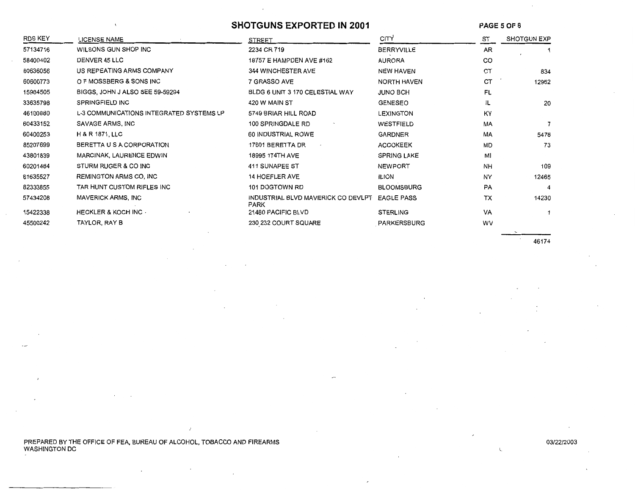## **SHOTGUNS EXPORTED IN 2001**

**PAGE** 5 OF 8

| <b>RDS KEY</b> | <b>LICENSE NAME</b>                      | <b>STREET</b>                              | <b>CITY</b>        | ST        | <b>SHOTGUN EXP</b> |
|----------------|------------------------------------------|--------------------------------------------|--------------------|-----------|--------------------|
| 57134716       | WILSONS GUN SHOP INC                     | 2234 CR 719                                | <b>BERRYVILLE</b>  | AR        |                    |
| 58400402       | DENVER 45 LLC                            | 18757 E HAMPDEN AVE #162                   | <b>AURORA</b>      | CO        |                    |
| 60636056       | US REPEATING ARMS COMPANY                | <b>344 WINCHESTER AVE</b>                  | <b>NEW HAVEN</b>   | CT        | 834                |
| 60600773       | O F MOSSBERG & SONS INC                  | 7 GRASSO AVE                               | NORTH HAVEN        | <b>CT</b> | 12952              |
| 15984505       | BIGGS, JOHN J ALSO SEE 59-59294          | BLDG 6 UNIT 3 170 CELESTIAL WAY            | <b>JUNO BCH</b>    | FL        |                    |
| 33635798       | <b>SPRINGFIELD INC</b>                   | 420 W MAIN ST                              | <b>GENESEO</b>     | IL        | 20                 |
| 46100880       | L-3 COMMUNICATIONS INTEGRATED SYSTEMS LP | 5749 BRIAR HILL ROAD                       | LEXINGTON          | KY        |                    |
| 60433152       | SAVAGE ARMS, INC                         | 100 SPRINGDALE RD                          | WESTFIELD          | MA        |                    |
| 60400253       | H & R 1871, LLC                          | 60 INDUSTRIAL ROWE                         | <b>GARDNER</b>     | MA        | 5478               |
| 85207699       | BERETTA U S A CORPORATION                | 17601 BERETTA DR                           | <b>ACCOKEEK</b>    | MD        | 73                 |
| 43801839       | MARCINAK, LAURENCE EDWIN                 | 18995 174TH AVE                            | <b>SPRING LAKE</b> | MI        |                    |
| 60201484       | STURM RUGER & CO INC                     | 411 SUNAPEE ST                             | <b>NEWPORT</b>     | <b>NH</b> | 109                |
| 61635527       | REMINGTON ARMS CO, INC                   | <b>14 HOEFLER AVE</b>                      | <b>ILION</b>       | NY        | 12465              |
| 82333855       | TAR HUNT CUSTOM RIFLES INC               | 101 DOGTOWN RD                             | <b>BLOOMSBURG</b>  | <b>PA</b> | 4                  |
| 57434208       | MAVERICK ARMS, INC                       | INDUSTRIAL BLVD MAVERICK CO DEVLPT<br>PARK | <b>EAGLE PASS</b>  | TX        | 14230              |
| 15422338       | <b>HECKLER &amp; KOCH INC.</b>           | 21480 PACIFIC BLVD                         | <b>STERLING</b>    | VA        |                    |
| 45500242       | TAYLOR, RAY B                            | 230 232 COURT SQUARE                       | PARKERSBURG        | wv        |                    |

46174

 $\cdot$ 

 $\zeta$ 

PREPARED BY THE OFFICE OF FEA, BUREAU OF ALCOHOL, TOBACCO AND FIREARMS WASHINGTON DC

 $\overline{1}$ 

 $\mathcal{L}$